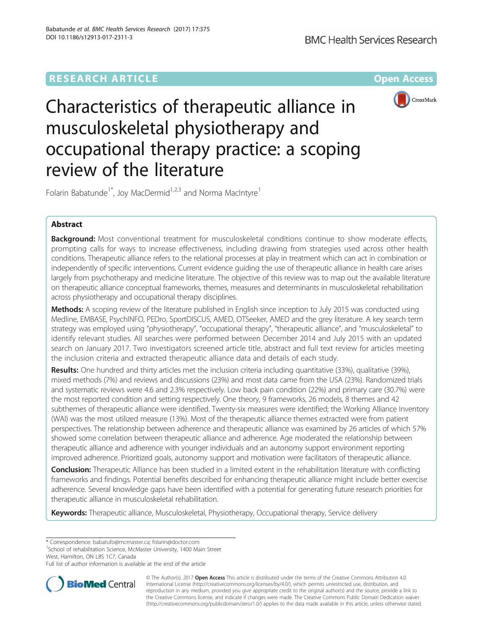# **RESEARCH ARTICLE Example 2014 12:30 The Community Community Community Community Community Community Community**



# Characteristics of therapeutic alliance in musculoskeletal physiotherapy and occupational therapy practice: a scoping review of the literature

Folarin Babatunde<sup>1\*</sup>, Joy MacDermid<sup>1,2,3</sup> and Norma MacIntyre<sup>1</sup>

# Abstract

Background: Most conventional treatment for musculoskeletal conditions continue to show moderate effects, prompting calls for ways to increase effectiveness, including drawing from strategies used across other health conditions. Therapeutic alliance refers to the relational processes at play in treatment which can act in combination or independently of specific interventions. Current evidence guiding the use of therapeutic alliance in health care arises largely from psychotherapy and medicine literature. The objective of this review was to map out the available literature on therapeutic alliance conceptual frameworks, themes, measures and determinants in musculoskeletal rehabilitation across physiotherapy and occupational therapy disciplines.

Methods: A scoping review of the literature published in English since inception to July 2015 was conducted using Medline, EMBASE, PsychINFO, PEDro, SportDISCUS, AMED, OTSeeker, AMED and the grey literature. A key search term strategy was employed using "physiotherapy", "occupational therapy", "therapeutic alliance", and "musculoskeletal" to identify relevant studies. All searches were performed between December 2014 and July 2015 with an updated search on January 2017. Two investigators screened article title, abstract and full text review for articles meeting the inclusion criteria and extracted therapeutic alliance data and details of each study.

Results: One hundred and thirty articles met the inclusion criteria including quantitative (33%), qualitative (39%), mixed methods (7%) and reviews and discussions (23%) and most data came from the USA (23%). Randomized trials and systematic reviews were 4.6 and 2.3% respectively. Low back pain condition (22%) and primary care (30.7%) were the most reported condition and setting respectively. One theory, 9 frameworks, 26 models, 8 themes and 42 subthemes of therapeutic alliance were identified. Twenty-six measures were identified; the Working Alliance Inventory (WAI) was the most utilized measure (13%). Most of the therapeutic alliance themes extracted were from patient perspectives. The relationship between adherence and therapeutic alliance was examined by 26 articles of which 57% showed some correlation between therapeutic alliance and adherence. Age moderated the relationship between therapeutic alliance and adherence with younger individuals and an autonomy support environment reporting improved adherence. Prioritized goals, autonomy support and motivation were facilitators of therapeutic alliance.

**Conclusion:** Therapeutic Alliance has been studied in a limited extent in the rehabilitation literature with conflicting frameworks and findings. Potential benefits described for enhancing therapeutic alliance might include better exercise adherence. Several knowledge gaps have been identified with a potential for generating future research priorities for therapeutic alliance in musculoskeletal rehabilitation.

Keywords: Therapeutic alliance, Musculoskeletal, Physiotherapy, Occupational therapy, Service delivery

<sup>1</sup>School of rehabilitation Science, McMaster University, 1400 Main Street West, Hamilton, ON L8S 1C7, Canada

Full list of author information is available at the end of the article



© The Author(s). 2017 **Open Access** This article is distributed under the terms of the Creative Commons Attribution 4.0 International License [\(http://creativecommons.org/licenses/by/4.0/](http://creativecommons.org/licenses/by/4.0/)), which permits unrestricted use, distribution, and reproduction in any medium, provided you give appropriate credit to the original author(s) and the source, provide a link to the Creative Commons license, and indicate if changes were made. The Creative Commons Public Domain Dedication waiver [\(http://creativecommons.org/publicdomain/zero/1.0/](http://creativecommons.org/publicdomain/zero/1.0/)) applies to the data made available in this article, unless otherwise stated.

<sup>\*</sup> Correspondence: [babatufo@mcmaster.ca](mailto:babatufo@mcmaster.ca); [folarin@doctor.com](mailto:folarin@doctor.com) <sup>1</sup>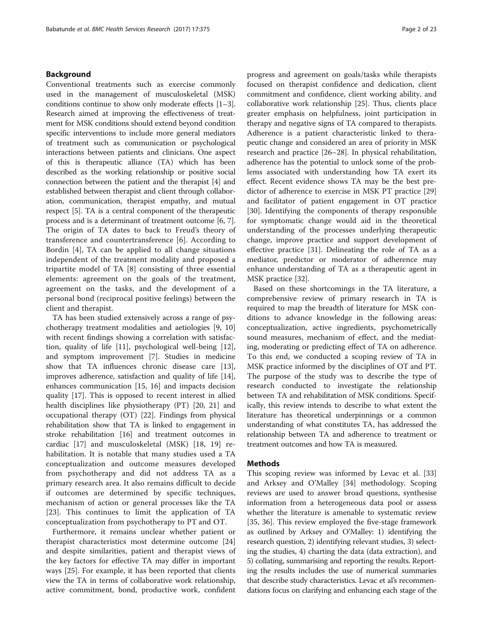# Background

Conventional treatments such as exercise commonly used in the management of musculoskeletal (MSK) conditions continue to show only moderate effects [[1](#page-20-0)–[3](#page-20-0)]. Research aimed at improving the effectiveness of treatment for MSK conditions should extend beyond condition specific interventions to include more general mediators of treatment such as communication or psychological interactions between patients and clinicians. One aspect of this is therapeutic alliance (TA) which has been described as the working relationship or positive social connection between the patient and the therapist [\[4](#page-20-0)] and established between therapist and client through collaboration, communication, therapist empathy, and mutual respect [[5](#page-20-0)]. TA is a central component of the therapeutic process and is a determinant of treatment outcome [[6](#page-20-0), [7](#page-20-0)]. The origin of TA dates to back to Freud's theory of transference and countertransference [[6\]](#page-20-0). According to Bordin [\[4](#page-20-0)], TA can be applied to all change situations independent of the treatment modality and proposed a tripartite model of TA [[8\]](#page-20-0) consisting of three essential elements: agreement on the goals of the treatment, agreement on the tasks, and the development of a personal bond (reciprocal positive feelings) between the client and therapist.

TA has been studied extensively across a range of psychotherapy treatment modalities and aetiologies [\[9](#page-20-0), [10](#page-20-0)] with recent findings showing a correlation with satisfaction, quality of life [[11\]](#page-20-0), psychological well-being [\[12](#page-20-0)], and symptom improvement [[7\]](#page-20-0). Studies in medicine show that TA influences chronic disease care [\[13](#page-20-0)], improves adherence, satisfaction and quality of life [\[14](#page-20-0)], enhances communication [\[15](#page-21-0), [16](#page-21-0)] and impacts decision quality [\[17](#page-21-0)]. This is opposed to recent interest in allied health disciplines like physiotherapy (PT) [\[20, 21\]](#page-21-0) and occupational therapy (OT) [[22\]](#page-21-0). Findings from physical rehabilitation show that TA is linked to engagement in stroke rehabilitation [[16](#page-21-0)] and treatment outcomes in cardiac [[17](#page-21-0)] and musculoskeletal (MSK) [[18, 19\]](#page-21-0) rehabilitation. It is notable that many studies used a TA conceptualization and outcome measures developed from psychotherapy and did not address TA as a primary research area. It also remains difficult to decide if outcomes are determined by specific techniques, mechanism of action or general processes like the TA [[23\]](#page-21-0). This continues to limit the application of TA conceptualization from psychotherapy to PT and OT.

Furthermore, it remains unclear whether patient or therapist characteristics most determine outcome [[24](#page-21-0)] and despite similarities, patient and therapist views of the key factors for effective TA may differ in important ways [[25](#page-21-0)]. For example, it has been reported that clients view the TA in terms of collaborative work relationship, active commitment, bond, productive work, confident

progress and agreement on goals/tasks while therapists focused on therapist confidence and dedication, client commitment and confidence, client working ability, and collaborative work relationship [[25\]](#page-21-0). Thus, clients place greater emphasis on helpfulness, joint participation in therapy and negative signs of TA compared to therapists. Adherence is a patient characteristic linked to therapeutic change and considered an area of priority in MSK research and practice [[26](#page-21-0)–[28](#page-21-0)]. In physical rehabilitation, adherence has the potential to unlock some of the problems associated with understanding how TA exert its effect. Recent evidence shows TA may be the best predictor of adherence to exercise in MSK PT practice [[29](#page-21-0)] and facilitator of patient engagement in OT practice [[30\]](#page-21-0). Identifying the components of therapy responsible for symptomatic change would aid in the theoretical understanding of the processes underlying therapeutic change, improve practice and support development of effective practice [[31\]](#page-21-0). Delineating the role of TA as a mediator, predictor or moderator of adherence may enhance understanding of TA as a therapeutic agent in MSK practice [[32](#page-21-0)].

Based on these shortcomings in the TA literature, a comprehensive review of primary research in TA is required to map the breadth of literature for MSK conditions to advance knowledge in the following areas: conceptualization, active ingredients, psychometrically sound measures, mechanism of effect, and the mediating, moderating or predicting effect of TA on adherence. To this end, we conducted a scoping review of TA in MSK practice informed by the disciplines of OT and PT. The purpose of the study was to describe the type of research conducted to investigate the relationship between TA and rehabilitation of MSK conditions. Specifically, this review intends to describe to what extent the literature has theoretical underpinnings or a common understanding of what constitutes TA, has addressed the relationship between TA and adherence to treatment or treatment outcomes and how TA is measured.

# **Methods**

This scoping review was informed by Levac et al. [[33](#page-21-0)] and Arksey and O'Malley [\[34\]](#page-21-0) methodology. Scoping reviews are used to answer broad questions, synthesise information from a heterogeneous data pool or assess whether the literature is amenable to systematic review [[35, 36](#page-21-0)]. This review employed the five-stage framework as outlined by Arksey and O'Malley: 1) identifying the research question, 2) identifying relevant studies, 3) selecting the studies, 4) charting the data (data extraction), and 5) collating, summarising and reporting the results. Reporting the results includes the use of numerical summaries that describe study characteristics. Levac et al's recommendations focus on clarifying and enhancing each stage of the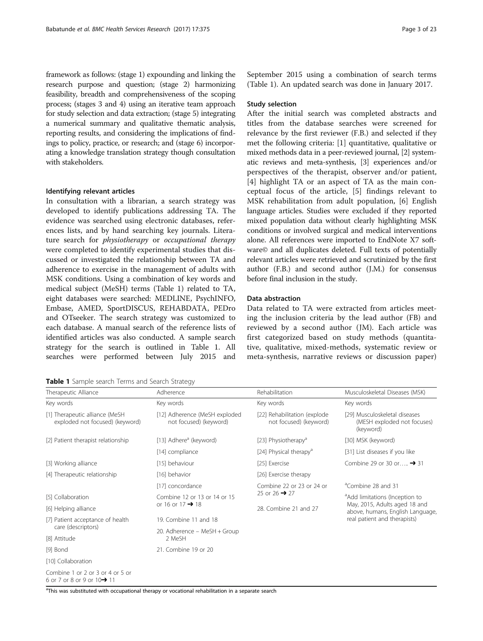framework as follows: (stage 1) expounding and linking the research purpose and question; (stage 2) harmonizing feasibility, breadth and comprehensiveness of the scoping process; (stages 3 and 4) using an iterative team approach for study selection and data extraction; (stage 5) integrating a numerical summary and qualitative thematic analysis, reporting results, and considering the implications of findings to policy, practice, or research; and (stage 6) incorporating a knowledge translation strategy though consultation with stakeholders.

#### Identifying relevant articles

In consultation with a librarian, a search strategy was developed to identify publications addressing TA. The evidence was searched using electronic databases, references lists, and by hand searching key journals. Literature search for physiotherapy or occupational therapy were completed to identify experimental studies that discussed or investigated the relationship between TA and adherence to exercise in the management of adults with MSK conditions. Using a combination of key words and medical subject (MeSH) terms (Table 1) related to TA, eight databases were searched: MEDLINE, PsychINFO, Embase, AMED, SportDISCUS, REHABDATA, PEDro and OTseeker. The search strategy was customized to each database. A manual search of the reference lists of identified articles was also conducted. A sample search strategy for the search is outlined in Table 1. All searches were performed between July 2015 and

Table 1 Sample search Terms and Search Strategy

September 2015 using a combination of search terms (Table 1). An updated search was done in January 2017.

#### Study selection

After the initial search was completed abstracts and titles from the database searches were screened for relevance by the first reviewer (F.B.) and selected if they met the following criteria: [[1\]](#page-20-0) quantitative, qualitative or mixed methods data in a peer-reviewed journal, [[2\]](#page-20-0) systematic reviews and meta-synthesis, [[3](#page-20-0)] experiences and/or perspectives of the therapist, observer and/or patient, [[4\]](#page-20-0) highlight TA or an aspect of TA as the main conceptual focus of the article, [[5](#page-20-0)] findings relevant to MSK rehabilitation from adult population, [\[6](#page-20-0)] English language articles. Studies were excluded if they reported mixed population data without clearly highlighting MSK conditions or involved surgical and medical interventions alone. All references were imported to EndNote X7 software© and all duplicates deleted. Full texts of potentially relevant articles were retrieved and scrutinized by the first author (F.B.) and second author (J.M.) for consensus before final inclusion in the study.

#### Data abstraction

Data related to TA were extracted from articles meeting the inclusion criteria by the lead author (FB) and reviewed by a second author (JM). Each article was first categorized based on study methods (quantitative, qualitative, mixed-methods, systematic review or meta-synthesis, narrative reviews or discussion paper)

| Therapeutic Alliance                                              | Adherence                                               | Rehabilitation                                         | Musculoskeletal Diseases (MSK)                                            |
|-------------------------------------------------------------------|---------------------------------------------------------|--------------------------------------------------------|---------------------------------------------------------------------------|
| Key words                                                         | Key words                                               | Key words                                              | Key words                                                                 |
| [1] Therapeutic alliance (MeSH<br>exploded not focused) (keyword) | [12] Adherence (MeSH exploded<br>not focused) (keyword) | [22] Rehabilitation (explode<br>not focused) (keyword) | [29] Musculoskeletal diseases<br>(MESH exploded not focuses)<br>(keyword) |
| [2] Patient therapist relationship                                | [13] Adhere <sup>a</sup> (keyword)                      | [23] Physiotherapy <sup>a</sup>                        | [30] MSK (keyword)                                                        |
|                                                                   | [14] compliance                                         | [24] Physical therapy <sup>a</sup>                     | [31] List diseases if you like                                            |
| [3] Working alliance                                              | [15] behaviour                                          | [25] Exercise                                          | Combine 29 or 30 or → 31                                                  |
| [4] Therapeutic relationship                                      | [16] behavior                                           | [26] Exercise therapy                                  |                                                                           |
|                                                                   | [17] concordance                                        | Combine 22 or 23 or 24 or                              | <sup>a</sup> Combine 28 and 31                                            |
| [5] Collaboration                                                 | Combine 12 or 13 or 14 or 15                            | 25 or 26 $\rightarrow$ 27                              | <sup>a</sup> Add limitations (Inception to                                |
| [6] Helping alliance                                              | or 16 or 17 $\rightarrow$ 18                            | 28. Combine 21 and 27                                  | May, 2015, Adults aged 18 and<br>above, humans, English Language,         |
| [7] Patient acceptance of health                                  | 19. Combine 11 and 18                                   |                                                        | real patient and therapists)                                              |
| care (descriptors)                                                | 20. Adherence - MeSH + Group                            |                                                        |                                                                           |
| [8] Attitude                                                      | 2 MeSH                                                  |                                                        |                                                                           |
| [9] Bond                                                          | 21. Combine 19 or 20                                    |                                                        |                                                                           |
| [10] Collaboration                                                |                                                         |                                                        |                                                                           |
|                                                                   |                                                         |                                                        |                                                                           |

Combine 1 or 2 or 3 or 4 or 5 or 6 or 7 or 8 or 9 or 10➔ 11

<sup>a</sup>This was substituted with occupational therapy or vocational rehabilitation in a separate search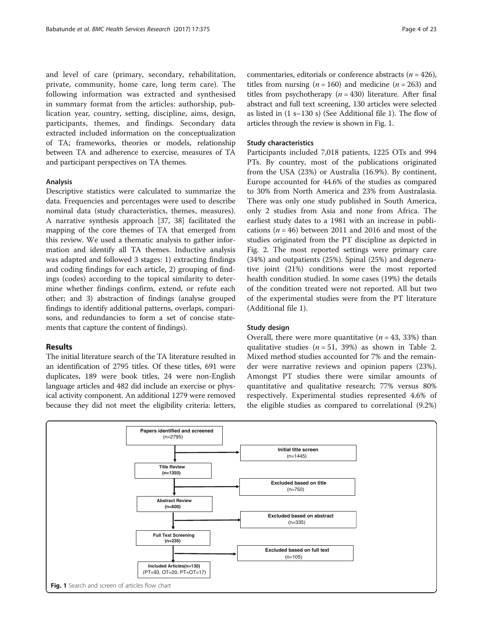and level of care (primary, secondary, rehabilitation, private, community, home care, long term care). The following information was extracted and synthesised in summary format from the articles: authorship, publication year, country, setting, discipline, aims, design, participants, themes, and findings. Secondary data extracted included information on the conceptualization of TA; frameworks, theories or models, relationship between TA and adherence to exercise, measures of TA and participant perspectives on TA themes.

#### Analysis

Descriptive statistics were calculated to summarize the data. Frequencies and percentages were used to describe nominal data (study characteristics, themes, measures). A narrative synthesis approach [[37, 38\]](#page-21-0) facilitated the mapping of the core themes of TA that emerged from this review. We used a thematic analysis to gather information and identify all TA themes. Inductive analysis was adapted and followed 3 stages: 1) extracting findings and coding findings for each article, 2) grouping of findings (codes) according to the topical similarity to determine whether findings confirm, extend, or refute each other; and 3) abstraction of findings (analyse grouped findings to identify additional patterns, overlaps, comparisons, and redundancies to form a set of concise statements that capture the content of findings).

### Results

The initial literature search of the TA literature resulted in an identification of 2795 titles. Of these titles, 691 were duplicates, 189 were book titles, 24 were non-English language articles and 482 did include an exercise or physical activity component. An additional 1279 were removed because they did not meet the eligibility criteria: letters, commentaries, editorials or conference abstracts ( $n = 426$ ), titles from nursing ( $n = 160$ ) and medicine ( $n = 263$ ) and titles from psychotherapy ( $n = 430$ ) literature. After final abstract and full text screening, 130 articles were selected as listed in (1 s–130 s) (See Additional file [1](#page-20-0)). The flow of articles through the review is shown in Fig. 1.

#### Study characteristics

Participants included 7,018 patients, 1225 OTs and 994 PTs. By country, most of the publications originated from the USA (23%) or Australia (16.9%). By continent, Europe accounted for 44.6% of the studies as compared to 30% from North America and 23% from Australasia. There was only one study published in South America, only 2 studies from Asia and none from Africa. The earliest study dates to a 1981 with an increase in publications ( $n = 46$ ) between 2011 and 2016 and most of the studies originated from the PT discipline as depicted in Fig. [2](#page-4-0). The most reported settings were primary care (34%) and outpatients (25%). Spinal (25%) and degenerative joint (21%) conditions were the most reported health condition studied. In some cases (19%) the details of the condition treated were not reported. All but two of the experimental studies were from the PT literature (Additional file [1](#page-20-0)).

#### Study design

Overall, there were more quantitative  $(n = 43, 33%)$  than qualitative studies  $(n = 51, 39%)$  as shown in Table [2](#page-5-0). Mixed method studies accounted for 7% and the remainder were narrative reviews and opinion papers (23%). Amongst PT studies there were similar amounts of quantitative and qualitative research; 77% versus 80% respectively. Experimental studies represented 4.6% of the eligible studies as compared to correlational (9.2%)

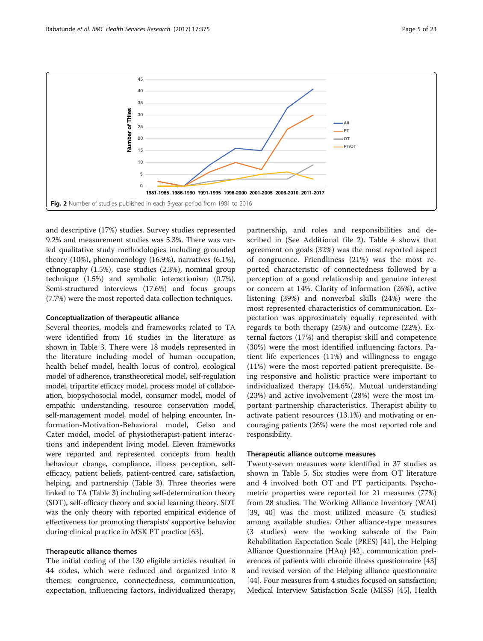<span id="page-4-0"></span>

and descriptive (17%) studies. Survey studies represented 9.2% and measurement studies was 5.3%. There was varied qualitative study methodologies including grounded theory (10%), phenomenology (16.9%), narratives (6.1%), ethnography (1.5%), case studies (2.3%), nominal group technique (1.5%) and symbolic interactionism (0.7%). Semi-structured interviews (17.6%) and focus groups (7.7%) were the most reported data collection techniques.

#### Conceptualization of therapeutic alliance

Several theories, models and frameworks related to TA were identified from 16 studies in the literature as shown in Table [3.](#page-6-0) There were 18 models represented in the literature including model of human occupation, health belief model, health locus of control, ecological model of adherence, transtheoretical model, self-regulation model, tripartite efficacy model, process model of collaboration, biopsychosocial model, consumer model, model of empathic understanding, resource conservation model, self-management model, model of helping encounter, Information-Motivation-Behavioral model, Gelso and Cater model, model of physiotherapist-patient interactions and independent living model. Eleven frameworks were reported and represented concepts from health behaviour change, compliance, illness perception, selfefficacy, patient beliefs, patient-centred care, satisfaction, helping, and partnership (Table [3](#page-6-0)). Three theories were linked to TA (Table [3\)](#page-6-0) including self-determination theory (SDT), self-efficacy theory and social learning theory. SDT was the only theory with reported empirical evidence of effectiveness for promoting therapists' supportive behavior during clinical practice in MSK PT practice [[63\]](#page-22-0).

# Therapeutic alliance themes

The initial coding of the 130 eligible articles resulted in 44 codes, which were reduced and organized into 8 themes: congruence, connectedness, communication, expectation, influencing factors, individualized therapy,

partnership, and roles and responsibilities and described in (See Additional file [2](#page-20-0)). Table [4](#page-9-0) shows that agreement on goals (32%) was the most reported aspect of congruence. Friendliness (21%) was the most reported characteristic of connectedness followed by a perception of a good relationship and genuine interest or concern at 14%. Clarity of information (26%), active listening (39%) and nonverbal skills (24%) were the most represented characteristics of communication. Expectation was approximately equally represented with regards to both therapy (25%) and outcome (22%). External factors (17%) and therapist skill and competence (30%) were the most identified influencing factors. Patient life experiences (11%) and willingness to engage (11%) were the most reported patient prerequisite. Being responsive and holistic practice were important to individualized therapy (14.6%). Mutual understanding (23%) and active involvement (28%) were the most important partnership characteristics. Therapist ability to activate patient resources (13.1%) and motivating or encouraging patients (26%) were the most reported role and responsibility.

#### Therapeutic alliance outcome measures

Twenty-seven measures were identified in 37 studies as shown in Table [5](#page-10-0). Six studies were from OT literature and 4 involved both OT and PT participants. Psychometric properties were reported for 21 measures (77%) from 28 studies. The Working Alliance Inventory (WAI) [[39, 40](#page-21-0)] was the most utilized measure (5 studies) among available studies. Other alliance-type measures (3 studies) were the working subscale of the Pain Rehabilitation Expectation Scale (PRES) [[41](#page-21-0)], the Helping Alliance Questionnaire (HAq) [[42\]](#page-21-0), communication preferences of patients with chronic illness questionnaire [[43](#page-21-0)] and revised version of the Helping alliance questionnaire [[44](#page-21-0)]. Four measures from 4 studies focused on satisfaction; Medical Interview Satisfaction Scale (MISS) [[45](#page-21-0)], Health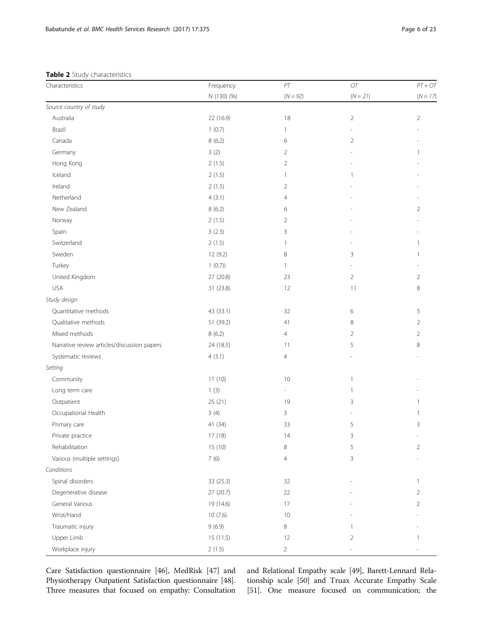# <span id="page-5-0"></span>Table 2 Study characteristics

| Characteristics                             | Frequency   | $\cal{PT}$               | $\mathcal{O}\mathcal{T}$ | $PT + OT$      |
|---------------------------------------------|-------------|--------------------------|--------------------------|----------------|
|                                             | N (130) (%) | $(N = 92)$               | $(N = 21)$               | $(N = 17)$     |
| Source country of study                     |             |                          |                          |                |
| Australia                                   | 22 (16.9)   | 18                       | $\overline{2}$           | $\overline{2}$ |
| Brazil                                      | 1(0.7)      | $\mathbf{1}$             |                          |                |
| Canada                                      | 8(6.2)      | 6                        | $\overline{2}$           |                |
| Germany                                     | 3(2)        | 2                        |                          | 1              |
| Hong Kong                                   | 2(1.5)      | $\overline{2}$           |                          |                |
| Iceland                                     | 2(1.5)      | $\mathbf{1}$             | 1                        |                |
| Ireland                                     | 2(1.5)      | 2                        |                          |                |
| Netherland                                  | 4(3.1)      | 4                        |                          |                |
| New Zealand                                 | 8(6.2)      | 6                        |                          | $\overline{2}$ |
| Norway                                      | 2(1.5)      | $\overline{2}$           |                          |                |
| Spain                                       | 3(2.3)      | 3                        |                          |                |
| Switzerland                                 | 2(1.5)      | 1                        |                          | -1             |
| Sweden                                      | 12 (9.2)    | 8                        | 3                        | $\mathbf{1}$   |
| Turkey                                      | 1(0.7)      | 1                        |                          |                |
| United Kingdom                              | 27 (20.8)   | 23                       | $\overline{2}$           | $\overline{2}$ |
| <b>USA</b>                                  | 31 (23.8)   | 12                       | 11                       | 8              |
| Study design                                |             |                          |                          |                |
| Quantitative methods                        | 43 (33.1)   | 32                       | 6                        | 5              |
| Qualitative methods                         | 51 (39.2)   | 41                       | 8                        | $\overline{2}$ |
| Mixed methods                               | 8(6.2)      | $\overline{4}$           | 2                        | $\overline{2}$ |
| Narrative review articles/discussion papers | 24 (18.5)   | 11                       | 5                        | 8              |
| Systematic reviews                          | 4(3.1)      | $\overline{4}$           |                          |                |
| Setting                                     |             |                          |                          |                |
| Community                                   | 11(10)      | 10                       | $\mathbf{1}$             |                |
| Long term care                              | 1(3)        | $\overline{\phantom{a}}$ | $\mathbf{1}$             |                |
| Outpatient                                  | 25 (21)     | 19                       | 3                        | 1              |
| Occupational Health                         | 3(4)        | 3                        |                          | 1              |
| Primary care                                | 41 (34)     | 33                       | 5                        | 3              |
| Private practice                            | 17 (18)     | 14                       | 3                        |                |
| Rehabilitation                              | 15 (10)     | 8                        | 5                        | $\overline{2}$ |
| Various (multiple settings)                 | 7(6)        | $\overline{4}$           | 3                        |                |
| Conditions                                  |             |                          |                          |                |
| Spinal disorders                            | 33 (25.3)   | 32                       |                          | 1              |
| Degenerative disease                        | 27 (20.7)   | 22                       |                          | $\overline{2}$ |
| General Various                             | 19 (14.6)   | 17                       |                          | $\overline{2}$ |
| Wrist/Hand                                  | 10(7.6)     | $10$                     |                          |                |
| Traumatic injury                            | 9(6.9)      | $\,8\,$                  | 1                        |                |
| Upper Limb                                  | 15 (11.5)   | 12                       | 2                        | 1              |
| Workplace injury                            | 2(1.5)      | $\overline{a}$           |                          |                |

Care Satisfaction questionnaire [\[46\]](#page-21-0), MedRisk [[47](#page-21-0)] and Physiotherapy Outpatient Satisfaction questionnaire [[48](#page-21-0)]. Three measures that focused on empathy: Consultation and Relational Empathy scale [[49](#page-21-0)], Barett-Lennard Relationship scale [\[50](#page-21-0)] and Truax Accurate Empathy Scale [[51](#page-21-0)]. One measure focused on communication; the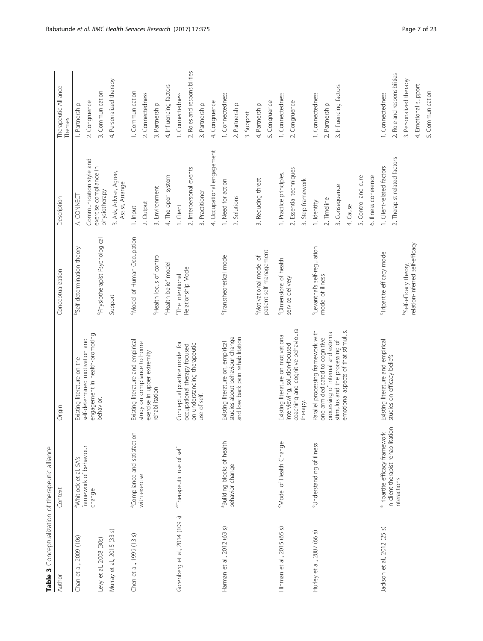<span id="page-6-0"></span>

| Author                         | Context                                            | Origin                                                                | Conceptualization                        | Description                               | Therapeutic Alliance<br>Themes |
|--------------------------------|----------------------------------------------------|-----------------------------------------------------------------------|------------------------------------------|-------------------------------------------|--------------------------------|
| Chan et al., 2009 (10s)        | a Whitlock et al. 5A's                             | Existing literature on the                                            | bSelf-determination theory               | A. CONNECT                                | 1. Partnership                 |
|                                | framework of behaviour<br>change                   | engagement in health-promoting<br>self-determined motivation and      |                                          | Communication style and                   | 2. Congruence                  |
| Levy et al., 2008 (30s)        |                                                    | behavior.                                                             | Physiotherapist Psychological            | exercise compliance in<br>physiotherapy   | 3. Communication               |
| Murray et al., 2015 (33 s)     |                                                    |                                                                       | Support                                  | B. Ask, Advise, Agree,<br>Assist, Arrange | 4. Personalized therapy        |
| Chen et al., 1999 (13 s)       | <sup>a</sup> Compliance and satisfaction           | Existing literature and empirical                                     | Model of Human Occupation                | 1. Input                                  | 1. Communication               |
|                                | with exercise                                      | study on compliance to home<br>exercise in upper extremity            |                                          | 2. Output                                 | 2. Connectedness               |
|                                |                                                    | rehabilitation                                                        | <sup>CHealth</sup> locus of control      | 3. Environment                            | 3. Partnership                 |
|                                |                                                    |                                                                       | 'Health belief model                     | 4. The open system                        | 4. Influencing factors         |
| Gorenberg et al., 2014 (109 s) | <sup>a</sup> Therapeutic use of self               | Conceptual practice model for                                         | <sup>c</sup> The Intentional             | 1. Client                                 | 1. Connectedness               |
|                                |                                                    | on understanding therapeutic<br>occupational therapy focused          | Relationship Model                       | 2. Interpersonal events                   | 2. Roles and responsibilities  |
|                                |                                                    | use of self.                                                          |                                          | 3. Practitioner                           | 3. Partnership                 |
|                                |                                                    |                                                                       |                                          | 4. Occupational engagement                | 4. Congruence                  |
| Harman et al., 2012 (63 s)     | Building blocks of health                          | Existing literature on, empirical                                     | <sup>9</sup> Transtheoretical model      | 1. Need for action                        | 1. Connectedness               |
|                                | behavior change                                    | studies about behaviour change<br>and low back pain rehabilitation    |                                          | 2. Solutions                              | 2. Partnership                 |
|                                |                                                    |                                                                       |                                          |                                           | Support<br>ന്                  |
|                                |                                                    |                                                                       | Motivational model of                    | 3. Reducing threat                        | 4. Partnership                 |
|                                |                                                    |                                                                       | patient self-management                  |                                           | 5. Congruence                  |
| Hinman et al., 2015 (65 s)     | "Model of Health Change                            | Existing literature on motivational                                   | <sup>C</sup> Dimensions of health        | 1. Practice principles,                   | 1. Connectedness               |
|                                |                                                    | coaching and cognitive behavioural<br>interviewing, solution-focused  | service delivery                         | 2. Essential techniques                   | Congruence<br>$\sim$           |
|                                |                                                    | therapy.                                                              |                                          | 3. Step framework                         |                                |
| Hurley et al., 2007 (66 s)     | a Understanding of illness                         | Parallel processing framework with                                    | <sup>c</sup> Levanthal's self-regulation | 1. Identity                               | 1. Connectedness               |
|                                |                                                    | processing of internal and external<br>one arm dedicated to cognitive | model of illness                         | 2. Timeline                               | 2. Partnership                 |
|                                |                                                    | stimulus and the processing of                                        |                                          | 3. Consequence                            | 3. Influencing factors         |
|                                |                                                    | emotional aspects of that stimulus.                                   |                                          | 4. Cause                                  |                                |
|                                |                                                    |                                                                       |                                          | 5. Control and cure                       |                                |
|                                |                                                    |                                                                       |                                          | 6. Illness coherence                      |                                |
| Jackson et al., 2012 (25 s)    | <sup>a</sup> Tripartite efficacy framework         | Existing literature and empirical                                     | Tripartite efficacy model                | 1. Client-related factors                 | 1. Connectedness               |
|                                | in client-therapist rehabilitation<br>interactions | studies on efficacy beliefs                                           |                                          | 2. Therapist related factors              | 2. Role and responsibilities   |
|                                |                                                    |                                                                       | bself-efficacy theory;                   |                                           | 3. Personalized therapy        |
|                                |                                                    |                                                                       | relation-inferred self-efficacy          |                                           | 4. Emotional support           |
|                                |                                                    |                                                                       |                                          |                                           | 5. Communication               |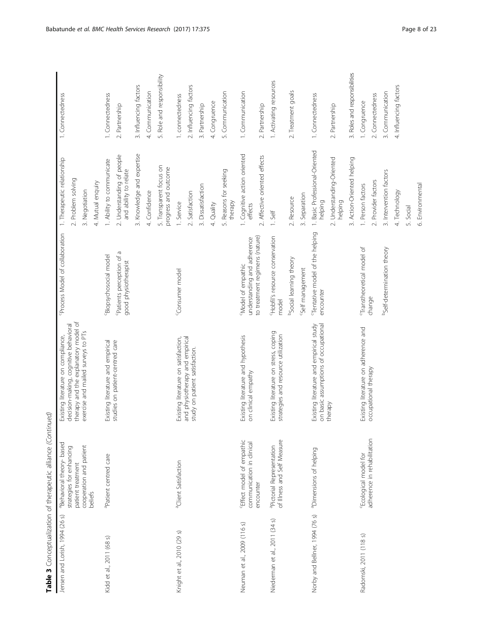| Jensen and Lorish, 1994 (26 s) | <sup>a</sup> Behavioral theory- based                    | Existing literature on compliance,                                              | <sup>c</sup> Process Model of collaboration              | 1. Therapeutic relationship                         | 1. Connectedness              |
|--------------------------------|----------------------------------------------------------|---------------------------------------------------------------------------------|----------------------------------------------------------|-----------------------------------------------------|-------------------------------|
|                                | strategies for enhancing                                 | decision-making, cognitive behavioral                                           |                                                          | 2. Problem solving                                  |                               |
|                                | cooperation and patient<br>patient treatment             | therapy and the explanatory model of<br>exercise and mailed surveys to PTs      |                                                          | 3. Negotiation                                      |                               |
|                                | beliefs                                                  |                                                                                 |                                                          |                                                     |                               |
|                                |                                                          |                                                                                 |                                                          | 4. Mutual enquiry                                   |                               |
| Kidd et al., 2011 (68 s)       | apatient centred care                                    | Existing literature and empirical                                               | Biopsychosocial model                                    | 1. Ability to communicate                           | 1. Connectedness              |
|                                |                                                          | studies on patient-centred care                                                 | Patients perception of a<br>good physiotherapist         | 2. Understanding of people<br>and ability to relate | 2. Partnership                |
|                                |                                                          |                                                                                 |                                                          | 3. Knowledge and expertise                          | 3. Influencing factors        |
|                                |                                                          |                                                                                 |                                                          | 4. Confidence                                       | 4. Communication              |
|                                |                                                          |                                                                                 |                                                          | 5. Transparent focus on<br>progress and outcome     | 5. Role and responsibility    |
| Knight et al., 2010 (29 s)     | <sup>a</sup> Client Satisfaction                         | Existing literature on satisfaction,                                            | <sup>c</sup> Consumer model                              | 1. Service                                          | 1. connectedness              |
|                                |                                                          | and physiotherapy and empirical<br>study on patient satisfaction.               |                                                          | 2. Satisfaction                                     | 2. Influencing factors        |
|                                |                                                          |                                                                                 |                                                          | 3. Dissatisfaction                                  | 3. Partnership                |
|                                |                                                          |                                                                                 |                                                          | 4. Quality                                          | 4. Congruence                 |
|                                |                                                          |                                                                                 |                                                          | 5. Reasons for seeking<br>therapy                   | 5. Communication              |
| Neuman et al., 2009 (116 s)    | Effect model of empathic<br>communication in clinical    | Existing literature and hypothesis<br>on clinical empathy                       | understanding and adherence<br>Model of empathic         | 1. Cognitive action oriented<br>effects             | 1. Communication              |
|                                | encounter                                                |                                                                                 | to treatment regimens (nature)                           | 2. Affective oriented effects                       | 2. Partnership                |
| Niederman et al., 2011 (34 s)  | of Illness and Self Measure<br>apictorial Representation | Existing literature on stress, coping<br>strategies and resource utilization    | Hobfil's resource conservation<br>model                  | 1. Self                                             | 1. Activating resources       |
|                                |                                                          |                                                                                 | <sup>o</sup> Social learning theory                      | 2. Resource                                         | 2. Treatment goals            |
|                                |                                                          |                                                                                 | Self management                                          | 3. Separation                                       |                               |
| Norby and Bellner, 1994 (76 s) | <sup>a</sup> Dimensions of helping                       | on basic assumptions of occupational<br>Existing literature and empirical study | <sup>C</sup> Tentative model of the helping<br>encounter | Basic Professional-Oriented<br>helping<br>$\div$    | 1. Connectedness              |
|                                |                                                          | therapy                                                                         |                                                          | 2. Understanding-Oriented<br>helping                | 2. Partnership                |
|                                |                                                          |                                                                                 |                                                          | 3. Action-Oriented helping                          | 3. Roles and responsibilities |
| Radomski, 2011 (118 s)         | "Ecological model for                                    | Existing literature on adherence and                                            | Transtheoretical model of                                | 1. Person factors                                   | 1. Congruence                 |
|                                | adherence in rehabilitation                              | occupational therapy                                                            | change                                                   | 2. Provider factors                                 | 2. Connectedness              |
|                                |                                                          |                                                                                 | bself-determination theory                               | 3. Intervention factors                             | 3. Communication              |
|                                |                                                          |                                                                                 |                                                          | 4. Technology                                       | 4. Influencing factors        |
|                                |                                                          |                                                                                 |                                                          | 5. Social                                           |                               |
|                                |                                                          |                                                                                 |                                                          | 6. Environmental                                    |                               |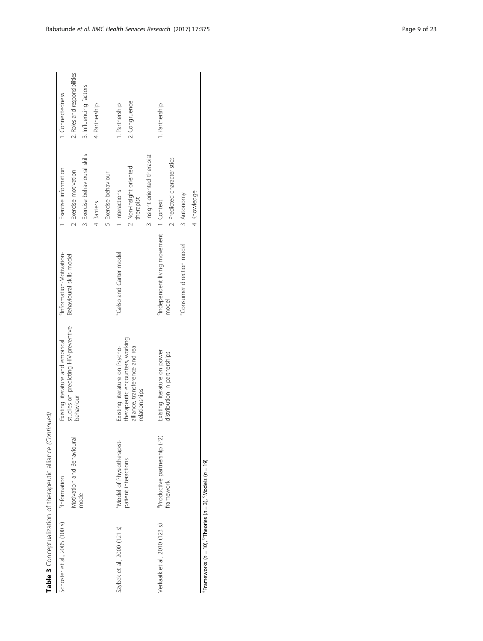|                               | Table 3 Conceptualization of therapeutic alliance (Continued) |                                                                                     |                                        |                                      |                               |
|-------------------------------|---------------------------------------------------------------|-------------------------------------------------------------------------------------|----------------------------------------|--------------------------------------|-------------------------------|
| Schoster et al., 2005 (100 s) | <sup>9</sup> Information                                      | Existing literature and empirical                                                   | <sup>c</sup> Information-Motivation-   | 1. Exercise information              | 1. Connectedness              |
|                               | Motivation and Behavioural                                    | studies on predicting HIV-preventive<br>behaviour                                   | Behavioural skills model               | 2. Exercise motivation               | 2. Roles and responsibilities |
|                               | model                                                         |                                                                                     |                                        | 3. Exercise behavioural skills       | 3. Influencing factors.       |
|                               |                                                               |                                                                                     |                                        | 4. Barriers                          | 4. Partnership                |
|                               |                                                               |                                                                                     |                                        | 5. Exercise behaviour                |                               |
| Szybek et al., 2000 (121 s)   | "Model of Physiotherapist-                                    | Existing literature on Psycho-                                                      | <sup>C</sup> Gelso and Carter model    | 1. Interactions                      | I. Partnership                |
|                               | patient interactions                                          | therapeutic encounters, working<br>alliance, transference and real<br>relationships |                                        | 2. Non-insight oriented<br>therapist | 2. Congruence                 |
|                               |                                                               |                                                                                     |                                        | 3. Insight oriented therapist        |                               |
| Verkaaik et al., 2010 (123 s) | <sup>a</sup> Productive partnership (P2)                      | Existing literature on power                                                        | Independent living movement 1. Context |                                      | 1. Partnership                |
|                               | framework                                                     | distribution in partnerships                                                        | model                                  | 2. Predicted characteristics         |                               |
|                               |                                                               |                                                                                     | Consumer direction model               | 3. Autonomy                          |                               |
|                               |                                                               |                                                                                     |                                        | 4. Knowledge                         |                               |

<sup>a</sup>Frameworks (n = 10), <sup>b</sup>Theories (n = 3), <sup>c</sup>Models (n = 19) **Frameworks (n = 10),**  $^{\text{b}}$ **Theories (n = 3),**  $^{\text{c}}$ **Models (n = 19)**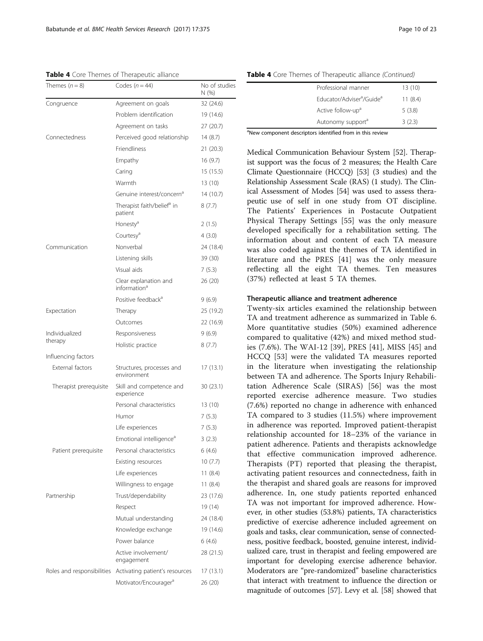<span id="page-9-0"></span>Table 4 Core Themes of Therapeutic alliance

| Themes $(n=8)$             | Codes $(n = 44)$                                  | No of studies<br>N(% ) |
|----------------------------|---------------------------------------------------|------------------------|
| Congruence                 | Agreement on goals                                | 32 (24.6)              |
|                            | Problem identification                            | 19 (14.6)              |
|                            | Agreement on tasks                                | 27(20.7)               |
| Connectedness              | Perceived good relationship                       | 14(8.7)                |
|                            | <b>Friendliness</b>                               | 21(20.3)               |
|                            | Empathy                                           | 16(9.7)                |
|                            | Caring                                            | 15 (15.5)              |
|                            | Warmth                                            | 13 (10)                |
|                            | Genuine interest/concern <sup>a</sup>             | 14 (10.7)              |
|                            | Therapist faith/belief <sup>a</sup> in<br>patient | 8(7.7)                 |
|                            | Honesty <sup>a</sup>                              | 2(1.5)                 |
|                            | Courtesy <sup>a</sup>                             | 4(3.0)                 |
| Communication              | Nonverbal                                         | 24 (18.4)              |
|                            | Listening skills                                  | 39 (30)                |
|                            | Visual aids                                       | 7(5.3)                 |
|                            | Clear explanation and<br>information <sup>a</sup> | 26 (20)                |
|                            | Positive feedback <sup>a</sup>                    | 9(6.9)                 |
| Expectation                | Therapy                                           | 25 (19.2)              |
|                            | Outcomes                                          | 22 (16.9)              |
| Individualized             | Responsiveness                                    | 9(6.9)                 |
| therapy                    | Holistic practice                                 | 8(7.7)                 |
| Influencing factors        |                                                   |                        |
| <b>External factors</b>    | Structures, processes and<br>environment          | 17 (13.1)              |
| Therapist prerequisite     | Skill and competence and<br>experience            | 30 (23.1)              |
|                            | Personal characteristics                          | 13 (10)                |
|                            | Humor                                             | 7(5.3)                 |
|                            | Life experiences                                  | 7(5.3)                 |
|                            | Emotional intelligence <sup>a</sup>               | 3(2.3)                 |
| Patient prerequisite       | Personal characteristics                          | 6 (4.6)                |
|                            | Existing resources                                | 10(7.7)                |
|                            | Life experiences                                  | 11(8.4)                |
|                            | Willingness to engage                             | 11(8.4)                |
| Partnership                | Trust/dependability                               | 23 (17.6)              |
|                            | Respect                                           | 19 (14)                |
|                            | Mutual understanding                              | 24 (18.4)              |
|                            | Knowledge exchange                                | 19 (14.6)              |
|                            | Power balance                                     | 6(4.6)                 |
|                            | Active involvement/<br>engagement                 | 28 (21.5)              |
| Roles and responsibilities | Activating patient's resources                    | 17 (13.1)              |
|                            | Motivator/Encourager <sup>a</sup>                 | 26 (20)                |

Table 4 Core Themes of Therapeutic alliance (Continued)

| Educator/Adviser <sup>a</sup> /Guide <sup>a</sup><br>11(8.4) |  |
|--------------------------------------------------------------|--|
| Active follow-up <sup>a</sup><br>5(3.8)                      |  |
| Autonomy support <sup>a</sup><br>3(2.3)                      |  |

<sup>a</sup>New component descriptors identified from in this review

Medical Communication Behaviour System [[52](#page-21-0)]. Therapist support was the focus of 2 measures; the Health Care Climate Questionnaire (HCCQ) [[53](#page-21-0)] (3 studies) and the Relationship Assessment Scale (RAS) (1 study). The Clinical Assessment of Modes [\[54\]](#page-21-0) was used to assess therapeutic use of self in one study from OT discipline. The Patients' Experiences in Postacute Outpatient Physical Therapy Settings [[55](#page-21-0)] was the only measure developed specifically for a rehabilitation setting. The information about and content of each TA measure was also coded against the themes of TA identified in literature and the PRES [[41\]](#page-21-0) was the only measure reflecting all the eight TA themes. Ten measures (37%) reflected at least 5 TA themes.

#### Therapeutic alliance and treatment adherence

Twenty-six articles examined the relationship between TA and treatment adherence as summarized in Table [6](#page-12-0). More quantitative studies (50%) examined adherence compared to qualitative (42%) and mixed method studies (7.6%). The WAI-12 [[39\]](#page-21-0), PRES [[41\]](#page-21-0), MISS [[45\]](#page-21-0) and HCCQ [\[53](#page-21-0)] were the validated TA measures reported in the literature when investigating the relationship between TA and adherence. The Sports Injury Rehabilitation Adherence Scale (SIRAS) [\[56](#page-21-0)] was the most reported exercise adherence measure. Two studies (7.6%) reported no change in adherence with enhanced TA compared to 3 studies (11.5%) where improvement in adherence was reported. Improved patient-therapist relationship accounted for 18–23% of the variance in patient adherence. Patients and therapists acknowledge that effective communication improved adherence. Therapists (PT) reported that pleasing the therapist, activating patient resources and connectedness, faith in the therapist and shared goals are reasons for improved adherence. In, one study patients reported enhanced TA was not important for improved adherence. However, in other studies (53.8%) patients, TA characteristics predictive of exercise adherence included agreement on goals and tasks, clear communication, sense of connectedness, positive feedback, boosted, genuine interest, individualized care, trust in therapist and feeling empowered are important for developing exercise adherence behavior. Moderators are "pre-randomized" baseline characteristics that interact with treatment to influence the direction or magnitude of outcomes [\[57\]](#page-21-0). Levy et al. [\[58\]](#page-21-0) showed that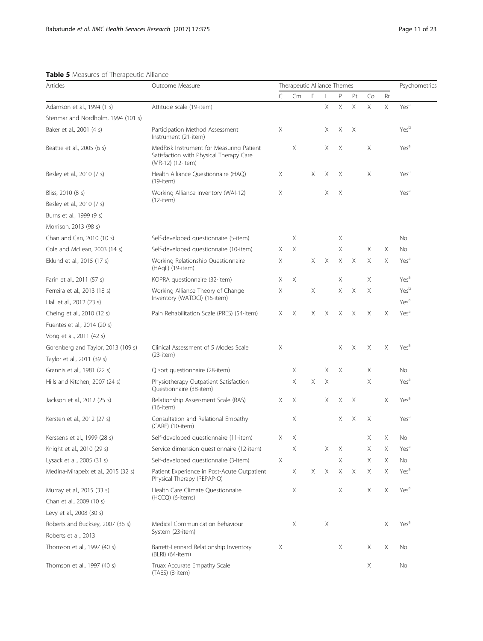# <span id="page-10-0"></span>Table 5 Measures of Therapeutic Alliance

| Articles                            | Outcome Measure                                                                                          |   | Therapeutic Alliance Themes |   |          |             |             |          |    | Psychometrics    |
|-------------------------------------|----------------------------------------------------------------------------------------------------------|---|-----------------------------|---|----------|-------------|-------------|----------|----|------------------|
|                                     |                                                                                                          | C | Cm                          | E |          | P           | Pt          | Co       | Rr |                  |
| Adamson et al., 1994 (1 s)          | Attitude scale (19-item)                                                                                 |   |                             |   | X        | $\mathsf X$ | $\mathsf X$ | $\times$ | X  | Yes <sup>a</sup> |
| Stenmar and Nordholm, 1994 (101 s)  |                                                                                                          |   |                             |   |          |             |             |          |    |                  |
| Baker et al., 2001 (4 s)            | Participation Method Assessment<br>Instrument (21-item)                                                  | Χ |                             |   | Χ        | Χ           | X           |          |    | Yesb             |
| Beattie et al., 2005 (6 s)          | MedRisk Instrument for Measuring Patient<br>Satisfaction with Physical Therapy Care<br>(MR-12) (12-item) |   | X                           |   | X        | X           |             | Χ        |    | Yes <sup>a</sup> |
| Besley et al., 2010 (7 s)           | Health Alliance Questionnaire (HAQ)<br>$(19$ -item $)$                                                   | Х |                             | Χ | Χ        | Х           |             | Χ        |    | Yes <sup>a</sup> |
| Bliss, 2010 (8 s)                   | Working Alliance Inventory (WAI-12)                                                                      | Χ |                             |   | X        | Χ           |             |          |    | Yes <sup>a</sup> |
| Besley et al., 2010 (7 s)           | (12-item)                                                                                                |   |                             |   |          |             |             |          |    |                  |
| Burns et al., 1999 (9 s)            |                                                                                                          |   |                             |   |          |             |             |          |    |                  |
| Morrison, 2013 (98 s)               |                                                                                                          |   |                             |   |          |             |             |          |    |                  |
| Chan and Can, 2010 (10 s)           | Self-developed questionnaire (5-item)                                                                    |   | Χ                           |   |          | Χ           |             |          |    | No               |
| Cole and McLean, 2003 (14 s)        | Self-developed questionnaire (10-item)                                                                   | Χ | Χ                           |   |          | Χ           |             | Χ        | Χ  | No               |
| Eklund et al., 2015 (17 s)          | Working Relationship Questionnaire<br>(HAgll) (19-item)                                                  | Χ |                             | X | Χ        | Χ           | X           | Χ        | X  | Yes <sup>a</sup> |
| Farin et al., 2011 (57 s)           | KOPRA questionnaire (32-item)                                                                            | Χ | X                           |   |          | Χ           |             | Χ        |    | Yes <sup>a</sup> |
| Ferreira et al., 2013 (18 s)        | Working Alliance Theory of Change                                                                        | Χ |                             | Χ |          | Χ           | X           | Χ        |    | Yesb             |
| Hall et al., 2012 (23 s)            | Inventory (WATOCI) (16-item)                                                                             |   |                             |   |          |             |             |          |    | Yes <sup>a</sup> |
| Cheing et al., 2010 (12 s)          | Pain Rehabilitation Scale (PRES) (54-item)                                                               | Χ | Χ                           | X | X        | Χ           | Χ           | Χ        | X  | Yes <sup>a</sup> |
| Fuentes et al., 2014 (20 s)         |                                                                                                          |   |                             |   |          |             |             |          |    |                  |
| Vong et al., 2011 (42 s)            |                                                                                                          |   |                             |   |          |             |             |          |    |                  |
| Gorenberg and Taylor, 2013 (109 s)  | Clinical Assessment of 5 Modes Scale                                                                     | Χ |                             |   |          | Χ           | Χ           | Χ        | X  | Yes <sup>a</sup> |
| Taylor et al., 2011 (39 s)          | $(23$ -item $)$                                                                                          |   |                             |   |          |             |             |          |    |                  |
| Grannis et al., 1981 (22 s)         | Q sort questionnaire (28-item)                                                                           |   | Χ                           |   | Χ        | Χ           |             | Χ        |    | No               |
| Hills and Kitchen, 2007 (24 s)      | Physiotherapy Outpatient Satisfaction<br>Questionnaire (38-item)                                         |   | Χ                           | Χ | Χ        |             |             | Χ        |    | Yes <sup>a</sup> |
| Jackson et al., 2012 (25 s)         | Relationship Assessment Scale (RAS)<br>$(16$ -item $)$                                                   | Χ | Χ                           |   | Χ        | Χ           | Χ           |          | X  | Yes <sup>a</sup> |
| Kersten et al., 2012 (27 s)         | Consultation and Relational Empathy<br>(CARE) (10-item)                                                  |   | Χ                           |   |          | Χ           | Χ           | Χ        |    | Yes <sup>a</sup> |
| Kerssens et al., 1999 (28 s)        | Self-developed questionnaire (11-item)                                                                   | Χ | Χ                           |   |          |             |             | Χ        | Χ  | No               |
| Knight et al., 2010 (29 s)          | Service dimension questionnaire (12-item)                                                                |   | Χ                           |   | Χ        | Χ           |             | Χ        | Χ  | Yes <sup>a</sup> |
| Lysack et al., 2005 (31 s)          | Self-developed questionnaire (3-item)                                                                    | Χ |                             |   |          | Χ           |             | Χ        | Χ  | No               |
| Medina-Mirapeix et al., 2015 (32 s) | Patient Experience in Post-Acute Outpatient<br>Physical Therapy (PEPAP-Q)                                |   | Χ                           | Χ | $\times$ | X           | Χ           | Χ        | Χ  | Yes <sup>a</sup> |
| Murray et al., 2015 (33 s)          | Health Care Climate Questionnaire                                                                        |   | Х                           |   |          | Χ           |             | Χ        | Χ  | Yes <sup>a</sup> |
| Chan et al., 2009 (10 s)            | (HCCQ) (6-items)                                                                                         |   |                             |   |          |             |             |          |    |                  |
| Levy et al., 2008 (30 s)            |                                                                                                          |   |                             |   |          |             |             |          |    |                  |
| Roberts and Bucksey, 2007 (36 s)    | Medical Communication Behaviour                                                                          |   | Χ                           |   | Χ        |             |             |          | Χ  | Yes <sup>a</sup> |
| Roberts et al., 2013                | System (23-item)                                                                                         |   |                             |   |          |             |             |          |    |                  |
| Thomson et al., 1997 (40 s)         | Barrett-Lennard Relationship Inventory<br>(BLRI) (64-item)                                               | Χ |                             |   |          | Χ           |             | Χ        | Χ  | No               |
| Thomson et al., 1997 (40 s)         | Truax Accurate Empathy Scale<br>(TAES) (8-item)                                                          |   |                             |   |          |             |             | Χ        |    | No               |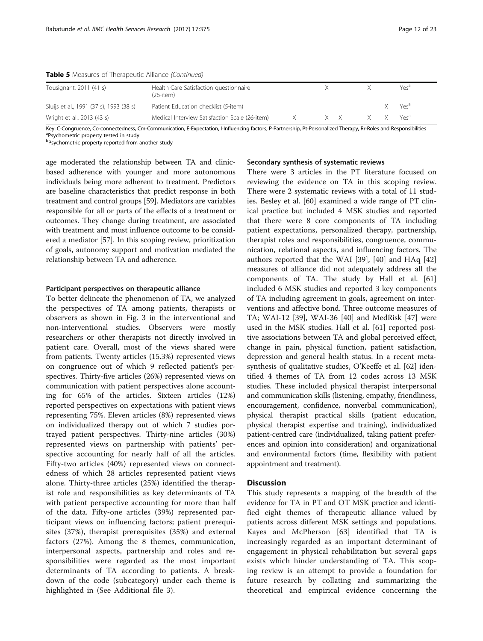| Tousignant, 2011 (41 s)                 | Health Care Satisfaction questionnaire<br>(26-item) |     |                      | Yesª             |
|-----------------------------------------|-----------------------------------------------------|-----|----------------------|------------------|
| Sluijs et al., 1991 (37 s), 1993 (38 s) | Patient Education checklist (5-item)                |     |                      | Yes <sup>d</sup> |
| Wright et al., 2013 (43 s)              | Medical Interview Satisfaction Scale (26-item)      | X X | X X Yes <sup>a</sup> |                  |
|                                         |                                                     |     |                      |                  |

Table 5 Measures of Therapeutic Alliance (Continued)

Key: C-Congruence, Co-connectedness, Cm-Communication, E-Expectation, I-Influencing factors, P-Partnership, Pt-Personalized Therapy, Rr-Roles and Responsibilities

<sup>a</sup>Psychometric property tested in study

<sup>b</sup>Psychometric property reported from another study

age moderated the relationship between TA and clinicbased adherence with younger and more autonomous individuals being more adherent to treatment. Predictors are baseline characteristics that predict response in both treatment and control groups [\[59\]](#page-21-0). Mediators are variables responsible for all or parts of the effects of a treatment or outcomes. They change during treatment, are associated with treatment and must influence outcome to be considered a mediator [[57](#page-21-0)]. In this scoping review, prioritization of goals, autonomy support and motivation mediated the relationship between TA and adherence.

#### Participant perspectives on therapeutic alliance

To better delineate the phenomenon of TA, we analyzed the perspectives of TA among patients, therapists or observers as shown in Fig. [3](#page-18-0) in the interventional and non-interventional studies. Observers were mostly researchers or other therapists not directly involved in patient care. Overall, most of the views shared were from patients. Twenty articles (15.3%) represented views on congruence out of which 9 reflected patient's perspectives. Thirty-five articles (26%) represented views on communication with patient perspectives alone accounting for 65% of the articles. Sixteen articles (12%) reported perspectives on expectations with patient views representing 75%. Eleven articles (8%) represented views on individualized therapy out of which 7 studies portrayed patient perspectives. Thirty-nine articles (30%) represented views on partnership with patients' perspective accounting for nearly half of all the articles. Fifty-two articles (40%) represented views on connectedness of which 28 articles represented patient views alone. Thirty-three articles (25%) identified the therapist role and responsibilities as key determinants of TA with patient perspective accounting for more than half of the data. Fifty-one articles (39%) represented participant views on influencing factors; patient prerequisites (37%), therapist prerequisites (35%) and external factors (27%). Among the 8 themes, communication, interpersonal aspects, partnership and roles and responsibilities were regarded as the most important determinants of TA according to patients. A breakdown of the code (subcategory) under each theme is highlighted in (See Additional file [3](#page-20-0)).

# Secondary synthesis of systematic reviews

There were 3 articles in the PT literature focused on reviewing the evidence on TA in this scoping review. There were 2 systematic reviews with a total of 11 studies. Besley et al. [\[60](#page-21-0)] examined a wide range of PT clinical practice but included 4 MSK studies and reported that there were 8 core components of TA including patient expectations, personalized therapy, partnership, therapist roles and responsibilities, congruence, communication, relational aspects, and influencing factors. The authors reported that the WAI [\[39](#page-21-0)], [\[40](#page-21-0)] and HAq [[42](#page-21-0)] measures of alliance did not adequately address all the components of TA. The study by Hall et al. [[61](#page-21-0)] included 6 MSK studies and reported 3 key components of TA including agreement in goals, agreement on interventions and affective bond. Three outcome measures of TA; WAI-12 [\[39\]](#page-21-0), WAI-36 [[40\]](#page-21-0) and MedRisk [\[47](#page-21-0)] were used in the MSK studies. Hall et al. [[61\]](#page-21-0) reported positive associations between TA and global perceived effect, change in pain, physical function, patient satisfaction, depression and general health status. In a recent metasynthesis of qualitative studies, O'Keeffe et al. [[62\]](#page-21-0) identified 4 themes of TA from 12 codes across 13 MSK studies. These included physical therapist interpersonal and communication skills (listening, empathy, friendliness, encouragement, confidence, nonverbal communication), physical therapist practical skills (patient education, physical therapist expertise and training), individualized patient-centred care (individualized, taking patient preferences and opinion into consideration) and organizational and environmental factors (time, flexibility with patient appointment and treatment).

# **Discussion**

This study represents a mapping of the breadth of the evidence for TA in PT and OT MSK practice and identified eight themes of therapeutic alliance valued by patients across different MSK settings and populations. Kayes and McPherson [[63\]](#page-22-0) identified that TA is increasingly regarded as an important determinant of engagement in physical rehabilitation but several gaps exists which hinder understanding of TA. This scoping review is an attempt to provide a foundation for future research by collating and summarizing the theoretical and empirical evidence concerning the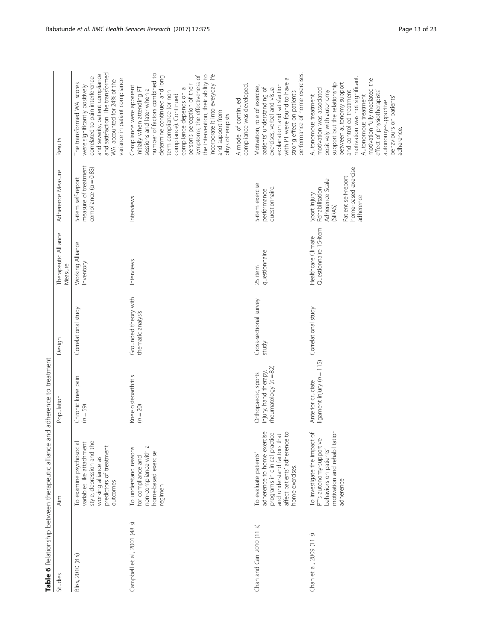<span id="page-12-0"></span>

|                              | Table 6 Relationship between therapeutic alliance and adherence to treatment                                                                                            |                                                                         |                                           |                                             |                                                                                                                         |                                                                                                                                                                                                                                                                                                                                                                                                                              |
|------------------------------|-------------------------------------------------------------------------------------------------------------------------------------------------------------------------|-------------------------------------------------------------------------|-------------------------------------------|---------------------------------------------|-------------------------------------------------------------------------------------------------------------------------|------------------------------------------------------------------------------------------------------------------------------------------------------------------------------------------------------------------------------------------------------------------------------------------------------------------------------------------------------------------------------------------------------------------------------|
| Studies                      | Aim                                                                                                                                                                     | Population                                                              | Design                                    | Therapeutic Alliance<br>Measure             | Adherence Measure                                                                                                       | Results                                                                                                                                                                                                                                                                                                                                                                                                                      |
| ଜ<br>Bliss, 2010 (8)         | style, depression and the<br>variables like attachment<br>To examine psychosocial<br>predictors of treatment<br>working alliance as<br>outcomes                         | Chronic knee pain<br>$(n = 59)$                                         | Correlational study                       | Working Alliance<br>Inventory               | measure of treatment<br>compliance $(a = 0.83)$<br>5-item self-report                                                   | and satisfaction. The transformed<br>and severity, patient compliance<br>correlated to pain interference<br>variance in patient compliance<br>WAI accounted for 24% of the<br>The transformed WAI scores<br>were significantly positively                                                                                                                                                                                    |
| Campbell et al., 2001 (48 s) | non-compliance with a<br>To understand reasons<br>home-based exercise<br>for compliance and<br>regimen                                                                  | Knee osteoarthritis<br>$(n = 20)$                                       | Grounded theory with<br>thematic analysis | Interviews                                  | Interviews                                                                                                              | number of factors combined to<br>incorporate it into everyday life<br>the intervention, their ability to<br>determine continued and long<br>symptoms, the effectiveness of<br>person's perception of their<br>Compliance were apparent<br>initially when attending PT<br>compliance depends on a<br>sessions and later when a<br>term compliance (or non-<br>compliance). Continued<br>and support from<br>ohysiotherapists. |
|                              |                                                                                                                                                                         |                                                                         |                                           |                                             |                                                                                                                         | compliance was developed.<br>A model of continued                                                                                                                                                                                                                                                                                                                                                                            |
| Chan and Can $2010$ $(11 s)$ | adherence to home exercise<br>programs in clinical practice<br>affect patients' adherence to<br>and understand factors that<br>To evaluate patients'<br>home exercises. | rheumatology $(n = 82)$<br>injury, hand therapy,<br>Orthopaedic, sports | Cross-sectional survey<br>study           | questionnaire<br>25 item                    | 5-item exercise<br>questionnaire.<br>performance                                                                        | performance of home exercises.<br>G<br>with PT were found to have<br>explanation and satisfaction<br>Motivation, role of exercise,<br>exercises, verbal and visual<br>patients' understanding of<br>strong effect on patient's                                                                                                                                                                                               |
| Chan et al., 2009 (11 s)     | To investigate the impact of<br>motivation and rehabilitation<br>PT's autonomy-supportive<br>behaviors on patients'<br>adherence                                        | ligament injury ( $n = 115$ )<br>Anterior cruciate                      | Correlational study                       | Questionnaire 15-item<br>Healthcare Climate | home-based exercise<br>Patient self-report<br>Adherence Scale<br>Rehabilitation<br>Sport Injury<br>adherence<br>(SIRAS) | motivation was not significant.<br>motivation fully mediated the<br>between autonomy support<br>support but the relationship<br>motivation was associated<br>positively with autonomy<br>and controlled treatment<br>effect of physiotherapists'<br>Autonomous treatment<br>Autonomous treatment<br>behaviours on patients'<br>autonomy-supportive<br>adherence.                                                             |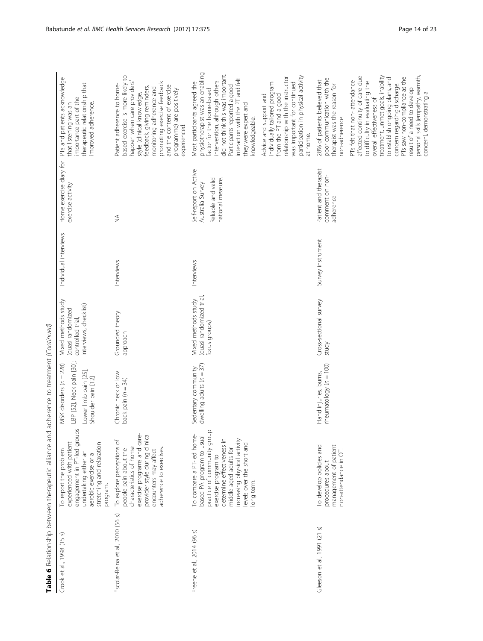| Crook et al., 1998 (15 s)         | $\underline{\delta}$<br>engagement in PT-led grou<br>experienced with patient<br>stretching and relaxation<br>To report the problem<br>undertaking either an<br>aerobic exercise or a<br>program.                                               | LBP [52], Neck pain [30];<br>MSK disorders (n = 228)<br>Lower limb pain [25],<br>Shoulder pain [12] | Mixed methods study<br>interviews, checklist)<br>(quasi randomized<br>controlled trial, | Individual interviews | Home exercise diary for<br>exercise activity                                         | PTs and patients acknowledge<br>therapeutic relationship that<br>importance part of the<br>improved adherence.<br>that listening was an                                                                                                                                                                                                                                 |
|-----------------------------------|-------------------------------------------------------------------------------------------------------------------------------------------------------------------------------------------------------------------------------------------------|-----------------------------------------------------------------------------------------------------|-----------------------------------------------------------------------------------------|-----------------------|--------------------------------------------------------------------------------------|-------------------------------------------------------------------------------------------------------------------------------------------------------------------------------------------------------------------------------------------------------------------------------------------------------------------------------------------------------------------------|
| Escolar-Reina et al., 2010 (56 s) | exercise programs and care-<br>provider style during clinica<br>To explore perceptions of<br>characteristics of home<br>adherence to exercises.<br>people pain about the<br>encounters may affect                                               | Chronic neck or low<br>back pain $(n = 34)$                                                         | Grounded theory<br>approach                                                             | Interviews            | $\lessgtr$                                                                           | based exercise is more likely to<br>happen when care providers'<br>promoting exercise feedback<br>Patient adherence to home-<br>and the content of exercise<br>feedback, giving reminders,<br>monitoring adherence and<br>programme) are positively<br>style (clinical knowledge,<br>experienced.                                                                       |
| Freene et al., 2014 (96 s)        | practice of community group<br>To compare a PT-led home-<br>based PA program to usual<br>determine effectiveness in<br>increasing physical activity<br>levels over the short and<br>middle-aged adults for<br>exercise program to<br>long term. | dwelling adults $(n = 37)$<br>Sedentary community                                                   | (quasi randomized trial)<br>Mixed methods study<br>focus groups)                        | Interviews            | Self-report on Active<br>Reliable and valid<br>national measure.<br>Australia Survey | physiotherapist was an enabling<br>did not think this was important.<br>interaction with the PT and felt<br>intervention, although others<br>Most participants agreed the<br>Participants reported a good<br>factor for the home-based<br>they were expert and<br>knowledgeable.                                                                                        |
|                                   |                                                                                                                                                                                                                                                 |                                                                                                     |                                                                                         |                       |                                                                                      | participation in physical activity<br>elationship with the instructor<br>was important for continued<br>individually tailored program<br>from the PT and a good<br>Advice and support and<br>at home.                                                                                                                                                                   |
| Gleeson et al., 1991 (21 s)       | To develop policies and<br>management of patient<br>non-attendance in OT.<br>procedures about                                                                                                                                                   | $r$ heumatology ( $n = 100$ )<br>Hand injuries, burns,                                              | Cross-sectional survey<br>study                                                         | Survey instrument     | Patient and therapist<br>comment on non-<br>adherence                                | poor communication with the<br>28% of patients believed that<br>therapist was the reason for<br>non-adherence.                                                                                                                                                                                                                                                          |
|                                   |                                                                                                                                                                                                                                                 |                                                                                                     |                                                                                         |                       |                                                                                      | treatment, unmet goals, inability<br>personal skills (empathy, warmth,<br>affected continuity of care due<br>PTs saw non-compliance as the<br>to establish ongoing plans, and<br>PTs felt that non-attendance<br>to difficulty in evaluating the<br>concem regarding discharge.<br>result of a need to develop<br>concern), demonstrating a<br>overall effectiveness of |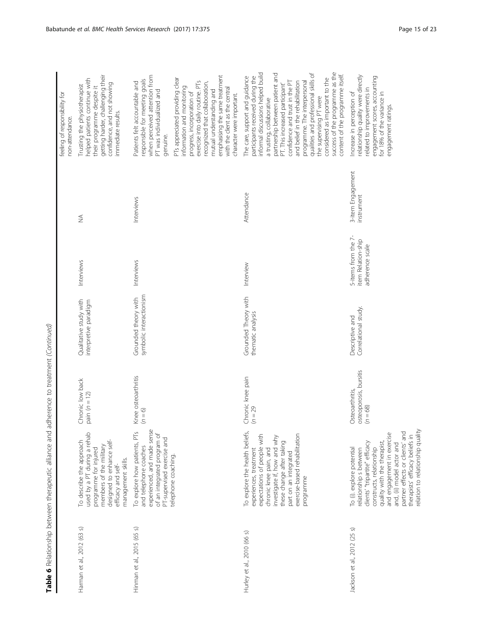|                             |                                                                                                                                                                                                                                                                                                                       |                                                         |                                                 |                                                              |                                 | feeling of responsibility for<br>non-attendance.                                                                                                                                                                                                                                                                                                                                                                                                                                             |
|-----------------------------|-----------------------------------------------------------------------------------------------------------------------------------------------------------------------------------------------------------------------------------------------------------------------------------------------------------------------|---------------------------------------------------------|-------------------------------------------------|--------------------------------------------------------------|---------------------------------|----------------------------------------------------------------------------------------------------------------------------------------------------------------------------------------------------------------------------------------------------------------------------------------------------------------------------------------------------------------------------------------------------------------------------------------------------------------------------------------------|
| Harman et al., 2012 (63 s)  | used by a PT during a rehab<br>designed to enhance self-<br>To describe the approach<br>members of the military<br>programme for injured<br>management skills.<br>efficacy and self-                                                                                                                                  | Chronic low back<br>pain $(n = 12)$                     | Qualitative study with<br>interpretive paradigm | Interviews                                                   | ₹                               | getting harder, challenging their<br>helped patients continue with<br>confidence, and not showing<br>Trusting the physiotherapist<br>their programme despite it<br>immediate results.                                                                                                                                                                                                                                                                                                        |
| Hinman et al., 2015 (65 s)  | To explore how patients, PTs<br>experienced, and made sense<br>of an integrated program of<br>PT-supervised exercise and<br>and telephone coaches<br>telephone coaching.                                                                                                                                              | Knee osteoarthritis<br>$(n = 6)$                        | symbolic interactionism<br>Grounded theory with | Interviews                                                   | Interviews                      | when perceived attention from<br>emphasising the same treatment<br>PTs appreciated providing clear<br>responsible for meeting goals<br>exercise into daily routine. PTs<br>Patients felt accountable and<br>recognized that collaboration,<br>information and monitoring<br>with the dient as the central<br>mutual understanding and<br>PT was individualized and<br>progress, incorporation of<br>character were important.<br>genuine.                                                    |
| Hurley et al., 2010 (66 s)  | To explore the health beliefs,<br>exercise-based rehabilitation<br>expectations of people with<br>investigate if, how and why<br>these change after taking<br>chronic knee pain, and<br>experiences, treatment<br>part on an integrated<br>programme                                                                  | Chronic knee pain<br>$(n = 29)$                         | Grounded Theory with<br>thematic analysis       | Interview                                                    | Attendance                      | success of the programme as the<br>informal discussions helped build<br>qualities and professional skills of<br>partnership between patient and<br>content of the programme itself.<br>participants received during the<br>The care, support and guidance<br>considered as important to the<br>programme. The interpersonal<br>confidence and trust in the PT<br>and belief in the rehabilitation<br>PT. This increased participant'<br>the supervising PT were<br>a trusting, collaborative |
| Jackson et al., 2012 (25 s) | partner effects or clients' and<br>relation to relationship quality<br>and engagement in exercise<br>therapists' efficacy beliefs in<br>quality with the therapist,<br>clients' "tripartite" efficacy<br>and, (ii) model actor and<br>constructs, relationship<br>To (i). explore potential<br>relationship s between | osteoporosis, bursitis<br>Osteoarthritis,<br>$(n = 68)$ | Correlational study.<br>Descriptive and         | 5-items from the 7-<br>item Relation-ship<br>adherence scale | 3-item Engagement<br>instrument | relationship quality were directly<br>engagement scores, accounting<br>related to improvements in<br>for 18% of the variance in<br>Increase in perception of<br>engagement ratings.                                                                                                                                                                                                                                                                                                          |

Table 6 Relationship between therapeutic alliance and adherence to treatment (Continued) Table 6 Relationship between therapeutic alliance and adherence to treatment (Continued)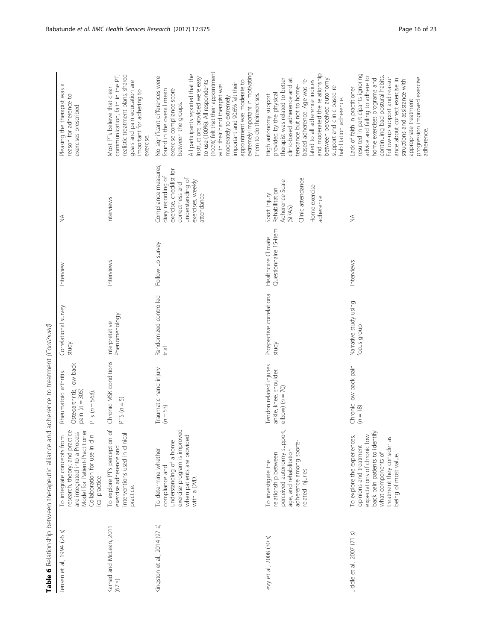|                                   | Table 6 Relationship between therapeutic alliance and adherence to treatment (Continued)                                                                                                           |                                                                                             |                                      |                                             |                                                                                                                                                 |                                                                                                                                                                                                                                                                                                                                                                                                                                                                  |
|-----------------------------------|----------------------------------------------------------------------------------------------------------------------------------------------------------------------------------------------------|---------------------------------------------------------------------------------------------|--------------------------------------|---------------------------------------------|-------------------------------------------------------------------------------------------------------------------------------------------------|------------------------------------------------------------------------------------------------------------------------------------------------------------------------------------------------------------------------------------------------------------------------------------------------------------------------------------------------------------------------------------------------------------------------------------------------------------------|
| Jensen et al., 1994 (26 s)        | Model for Patient-Practitioner<br>research, theory, and practice<br>are integrated into a Process<br>To integrate concepts from<br>Collaboration for use in clin<br>ical practice                  | Osteoarthritis, low back<br>Rheumatoid arthritis.<br>pain $(n = 305)$<br>PTs ( $n = 568$ ). | Correlational survey<br>study        | Interview                                   | $\widetilde{\geq}$                                                                                                                              | Pleasing the therapist was a<br>reason for adherence to<br>exercises prescribed                                                                                                                                                                                                                                                                                                                                                                                  |
| Karnad and McLean, 2011<br>(67 s) | $\beta$<br>interventions used in clinical<br>To explore PT's perception<br>exercise adherence and<br>practice.                                                                                     | Chronic MSK conditions<br>$PTS(n=5)$                                                        | Phenomenology<br>Interpretative      | Interviews                                  | Interviews                                                                                                                                      | realistic treatment plans, shared<br>communication, faith in the PT,<br>goals and pain education are<br>Most PTs believe that clear<br>important for adhering to<br>exercise.                                                                                                                                                                                                                                                                                    |
| Kingston et al., 2014 (97 s)      | exercise program is improved<br>when patients are provided<br>understanding of a home<br>To determine whether<br>compliance and<br>with a DVD.                                                     | Traumatic hand injury<br>$(n = 53)$                                                         | Randomized controlled<br>trial       | Follow up survey                            | Compliance measures;<br>exercise, checklist for<br>diary recording of<br>understanding of<br>exercises, weekly<br>correctness and<br>attendance | (100%) felt that their appointment<br>extremely important in motivating<br>All participants reported that the<br>No significant differences were<br>instructions provided were easy<br>to use (100%). All respondents<br>appointment was moderate to<br>important and 90.6% felt their<br>with their hand therapist was<br>found in the overall mean<br>exercise compliance score<br>moderately to extremely<br>them to do theirexercises<br>between the groups. |
| Levy et al., 2008 (30 s)          | perceived autonomy support,<br>adherence among sports-<br>age, and rehabilitation<br>relationship between<br>To investigate the<br>related injuries                                                | Tendon related injuries<br>ankle, knee, shoulder,<br>$\text{elbow}$ ( $n = 70$ )            | Prospective correlational<br>study   | Questionnaire 15-item<br>Healthcare Climate | Clinic attendance<br>Adherence Scale<br>Home exercise<br>Rehabilitation<br>Sport Injury<br>adherence<br>(SIRAS)                                 | and moderated the relationship<br>therapist was related to better<br>between perceived autonomy<br>clinic-based adherence and at<br>lated to all adherence indices<br>based adherence. Age was re<br>tendance but not to home-<br>support and clinic-based re<br>provided by the physical<br>High autonomy support<br>nabilitation adherence.                                                                                                                    |
| Liddle et al., 2007 (71 s)        | back pain patients to identify<br>To explore the experiences,<br>expectations of chronic low<br>treatment they consider as<br>opinions and treatment<br>what components of<br>being of most value. | Chronic low back pain<br>$(n = 18)$                                                         | Narrative study using<br>focus group | Interviews                                  | $\lessgtr$                                                                                                                                      | resulted in participants ignoring<br>continuing bad postural habits.<br>advice and failing to adhere to<br>Follow-up support and reassur<br>progression improved exercise<br>home exercises programs and<br>ance about correct exercise in<br>structions and assistance with<br>Lack of faith in practitioner<br>appropriate treatment<br>adherence.                                                                                                             |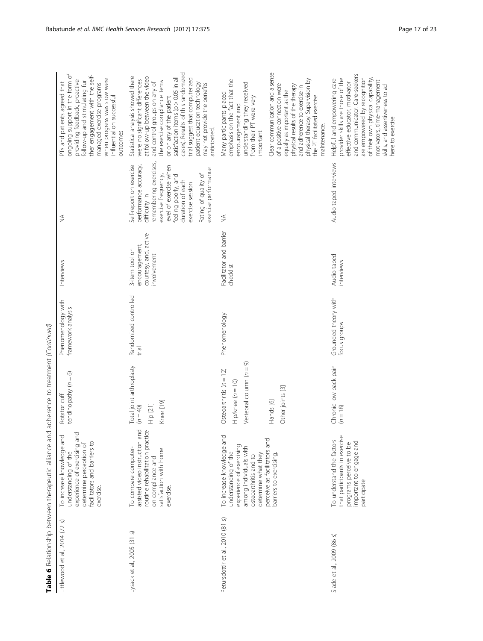|                                  | <b>CONFIGURATION</b> CONTROL TO A POSTAL AND THE CONTROL OF THE CONFIGURATION OF THE CONFIGURATION OF THE CONFIGURATION                                                                                           |                                                                                                                 |                                          |                                                                          |                                                                                                                                                                                                                                                             |                                                                                                                                                                                                                                                                                                                                                                                                                 |
|----------------------------------|-------------------------------------------------------------------------------------------------------------------------------------------------------------------------------------------------------------------|-----------------------------------------------------------------------------------------------------------------|------------------------------------------|--------------------------------------------------------------------------|-------------------------------------------------------------------------------------------------------------------------------------------------------------------------------------------------------------------------------------------------------------|-----------------------------------------------------------------------------------------------------------------------------------------------------------------------------------------------------------------------------------------------------------------------------------------------------------------------------------------------------------------------------------------------------------------|
| ଜ<br>Littlewood et al., 2014 (72 | experience of exercising and<br>To increase knowledge and<br>facilitators and barriers to<br>determine perception of<br>understanding of the<br>exercise.                                                         | tendinopathy $(n = 6)$<br>Rotator cuff                                                                          | Phenomenology with<br>framework analysis | Interviews                                                               | ≸                                                                                                                                                                                                                                                           | ongoing support in the form of<br>ther engagement with the self-<br>when progress was slow were<br>providing feedback, proactive<br>follow-up and stimulating fur<br>PTs and patients agreed that<br>managed exercise programs<br>influential on successful<br>outcomes                                                                                                                                         |
| Lysack et al., 2005 (31 s)       | assisted video instruction and<br>routine rehabilitation practice<br>To compare computer-<br>satisfaction with home<br>on compliance and<br>exercise.                                                             | Total joint arthroplasty<br>Knee [19]<br>Hip [21]<br>$(n = 40)$                                                 | Randomized controlled<br>trial           | courtesy, and, active<br>encouragement,<br>3-item tool on<br>involvement | remembering exercises,<br>Self-report on exercise<br>performance accuracy,<br>level of exercise when<br>exercise performance<br>Rating of quality of<br>exercise frequency,<br>feeling poorly, and<br>duration of each<br>exercise session<br>difficulty in | cases). Results of this randomized<br>Statistical analysis showed there<br>at follow-up between the video<br>satisfaction items (p > 0.05 in all<br>trial suggest that computerized<br>were no significant differences<br>the exercise compliance items<br>and control groups on any of<br>patient education technology<br>may not provide the benefits<br>or on any of the patient<br>anticipated.             |
| Petursdottir et al., 2010 (81 s) | To increase knowledge and<br>perceive as facilitators and<br>experience of exercising<br>among individuals with<br>understanding of the<br>determine what they<br>barriers to exercising<br>osteoarthritis and to | Vertebral column $(n = 9)$<br>Osteoarthritis $(n = 12)$<br>$Hip/knee (n = 10)$<br>Other joints [3]<br>Hands [6] | Phenomenology                            | Facilitator and barrier<br>checklist                                     | ₹                                                                                                                                                                                                                                                           | Clear communication and a sense<br>emphasis on the fact that the<br>physical therapy. Supervision by<br>understanding they received<br>of a positive connection were<br>physical results of the therapy<br>and adherence to exercise in<br>equally as important as the<br>Many participants placed<br>the PT facilitated exercise<br>from their PT were very<br>encouragement and<br>maintenance.<br>important. |
| Slade et al., 2009 (86 s)        | that participants in exercise<br>To understand the factors<br>important to engage and<br>programs perceive to be<br>participate                                                                                   | Chronic low back pain<br>$(n = 18)$                                                                             | Grounded theory with<br>focus groups     | Audio-taped<br>nterviews                                                 | Audio-taped interviews                                                                                                                                                                                                                                      | and communicator. Care-seekers<br>Helpful and empowering care-<br>are empowered by recognition<br>provider skills are those of the<br>of their own physical capability,<br>motivators, time-management<br>effective educator, motivator<br>skills, and assertiveness to ad<br>here to exercise                                                                                                                  |

Table 6 Relationship between therapeutic alliance and adherence to treatment (Continued) Table 6 Relationship between therapeutic alliance and adherence to treatment (Continued)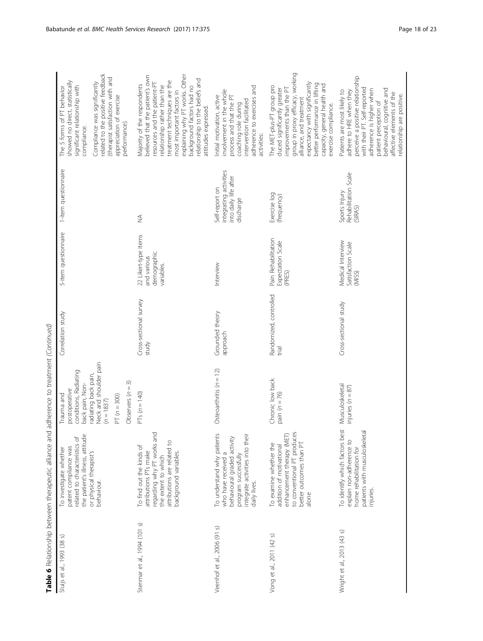| related to the positive feedback<br>(therapist satisfaction with and<br>showed no direct, statistically<br>Compliance was significantly<br>significant relationship with<br>The 5 forms of PT behavior<br>appreciation of exercise<br>performance).<br>compliance. | explaining why PT works. Other<br>believed that the patient's own<br>relationship to the beliefs and<br>treatment techniques are the<br>resources and the patient-PT<br>Vlajority of the respondents<br>relationship rather than the<br>background factors had no<br>most important factors in<br>attitudes expressed. | adherence to exercises and<br>involvement in the whole<br>nitial motivation, active<br>process and that the PT<br>intervention facilitated<br>coaching role during<br>activities: | group in proxy efficacy, working<br>expectancy with significantly<br>better performance in lifting<br>capacity, general health and<br>The MET-plus-PT group pro<br>improvements than the PT<br>duced significantly greater<br>alliance, and treatment<br>exercise compliance. | perceive a positive relationship<br>with their PT. Self-reported<br>behavioural, cognitive and<br>adherence is higher when<br>adhere to HRE when they<br>Patients are most likely to<br>affective elements of the<br>elationship are positive.<br>patient perception of |
|--------------------------------------------------------------------------------------------------------------------------------------------------------------------------------------------------------------------------------------------------------------------|------------------------------------------------------------------------------------------------------------------------------------------------------------------------------------------------------------------------------------------------------------------------------------------------------------------------|-----------------------------------------------------------------------------------------------------------------------------------------------------------------------------------|-------------------------------------------------------------------------------------------------------------------------------------------------------------------------------------------------------------------------------------------------------------------------------|-------------------------------------------------------------------------------------------------------------------------------------------------------------------------------------------------------------------------------------------------------------------------|
| 1-item questionnaire                                                                                                                                                                                                                                               | $\lessgtr$                                                                                                                                                                                                                                                                                                             | integrating activities<br>into daily life after<br>Self-report on<br>discharge                                                                                                    | Exercise log<br>(frequency)                                                                                                                                                                                                                                                   | Rehabilitation Scale<br>Sports Injury<br>(SIRAS)                                                                                                                                                                                                                        |
| 5-item questionnaire                                                                                                                                                                                                                                               | 22 Likert-type items<br>demographic<br>and various<br>variables.                                                                                                                                                                                                                                                       | Interview                                                                                                                                                                         | Pain Rehabilitation<br>Expectation Scale<br>(PRES)                                                                                                                                                                                                                            | Medical Interview<br>Satisfaction Scale<br>(MISS)                                                                                                                                                                                                                       |
| Correlation study                                                                                                                                                                                                                                                  | Cross-sectional survey<br>study                                                                                                                                                                                                                                                                                        | Grounded theory<br>approach                                                                                                                                                       | Randomized, controlled<br>trial                                                                                                                                                                                                                                               | Cross-sectional study                                                                                                                                                                                                                                                   |
| Neck and shoulder pain<br>conditions, Radiating<br>radiating back pain,<br>Observers $(n = 3)$<br>back pain, Non-<br>postoperative<br>Trauma and<br>$PT (n = 300)$<br>$(n = 1837)$                                                                                 | $PTs (n = 140)$                                                                                                                                                                                                                                                                                                        | Osteoarthritis $(n = 12)$                                                                                                                                                         | Chronic low back<br>pain $(n = 76)$                                                                                                                                                                                                                                           | Musculoskeletal<br>injuries ( $n = 87$ )                                                                                                                                                                                                                                |
| the patient's illness, attitude<br>related to characteristics of<br>patent compliance was<br>To investigate whether<br>or physical therapist's<br>behaviour.                                                                                                       | regarding why PT works and<br>attributions are related to<br>To find out the kinds of<br>attributions PTs make<br>background variables.<br>the extent to which                                                                                                                                                         | To understand why patients<br>integrate activities into their<br>behavioural graded activity<br>who have received a<br>program successfully<br>daily lives.                       | to conventional PT produces<br>enhancement therapy (MET<br>better outcomes than PT<br>To examine whether the<br>addition of motivational<br>alone                                                                                                                             | To identify which factors best<br>patients with musculoskeletal<br>explain non-adherence to<br>home rehabilitation for<br>injuries.                                                                                                                                     |
| Sluijs et al., 1993 (38 s)                                                                                                                                                                                                                                         | Stenmar et al., 1994 (101 s)                                                                                                                                                                                                                                                                                           | Veenhof et al., 2006 (91 s)                                                                                                                                                       | Vong et al., 2011 (42 s)                                                                                                                                                                                                                                                      | Wright et al., 2013 (43 s)                                                                                                                                                                                                                                              |

Table 6 Relationship between therapeutic alliance and adherence to treatment (Continued) Table 6 Relationship between therapeutic alliance and adherence to treatment (Continued)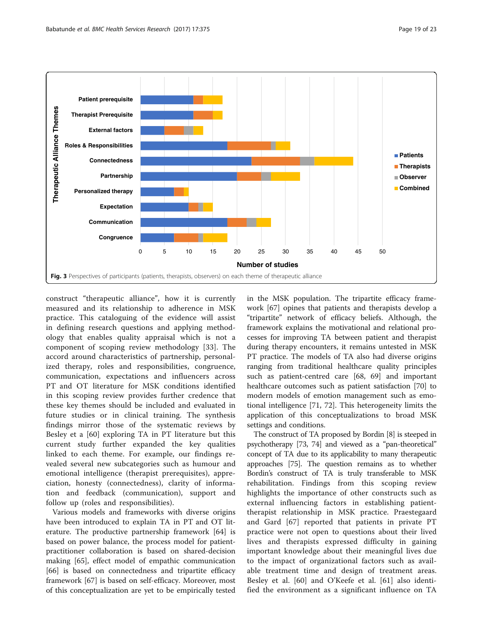<span id="page-18-0"></span>

construct "therapeutic alliance", how it is currently measured and its relationship to adherence in MSK practice. This cataloguing of the evidence will assist in defining research questions and applying methodology that enables quality appraisal which is not a component of scoping review methodology [[33\]](#page-21-0). The accord around characteristics of partnership, personalized therapy, roles and responsibilities, congruence, communication, expectations and influencers across PT and OT literature for MSK conditions identified in this scoping review provides further credence that these key themes should be included and evaluated in future studies or in clinical training. The synthesis findings mirror those of the systematic reviews by Besley et a [[60\]](#page-21-0) exploring TA in PT literature but this current study further expanded the key qualities linked to each theme. For example, our findings revealed several new subcategories such as humour and emotional intelligence (therapist prerequisites), appreciation, honesty (connectedness), clarity of information and feedback (communication), support and follow up (roles and responsibilities).

Various models and frameworks with diverse origins have been introduced to explain TA in PT and OT literature. The productive partnership framework [\[64](#page-22-0)] is based on power balance, the process model for patientpractitioner collaboration is based on shared-decision making [[65](#page-22-0)], effect model of empathic communication [[66\]](#page-22-0) is based on connectedness and tripartite efficacy framework [\[67\]](#page-22-0) is based on self-efficacy. Moreover, most of this conceptualization are yet to be empirically tested

in the MSK population. The tripartite efficacy framework [\[67](#page-22-0)] opines that patients and therapists develop a "tripartite" network of efficacy beliefs. Although, the framework explains the motivational and relational processes for improving TA between patient and therapist during therapy encounters, it remains untested in MSK PT practice. The models of TA also had diverse origins ranging from traditional healthcare quality principles such as patient-centred care [\[68, 69\]](#page-22-0) and important healthcare outcomes such as patient satisfaction [\[70](#page-22-0)] to modern models of emotion management such as emotional intelligence [[71, 72](#page-22-0)]. This heterogeneity limits the application of this conceptualizations to broad MSK settings and conditions.

The construct of TA proposed by Bordin [[8](#page-20-0)] is steeped in psychotherapy [[73](#page-22-0), [74\]](#page-22-0) and viewed as a "pan-theoretical" concept of TA due to its applicability to many therapeutic approaches [\[75\]](#page-22-0). The question remains as to whether Bordin's construct of TA is truly transferable to MSK rehabilitation. Findings from this scoping review highlights the importance of other constructs such as external influencing factors in establishing patienttherapist relationship in MSK practice. Praestegaard and Gard [[67](#page-22-0)] reported that patients in private PT practice were not open to questions about their lived lives and therapists expressed difficulty in gaining important knowledge about their meaningful lives due to the impact of organizational factors such as available treatment time and design of treatment areas. Besley et al. [[60\]](#page-21-0) and O'Keefe et al. [[61\]](#page-21-0) also identified the environment as a significant influence on TA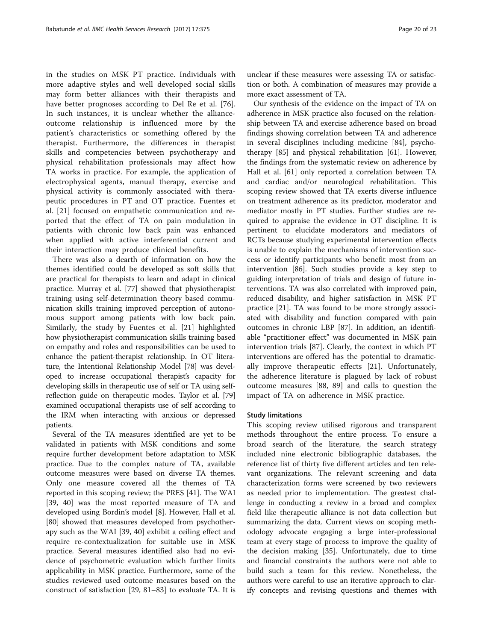in the studies on MSK PT practice. Individuals with more adaptive styles and well developed social skills may form better alliances with their therapists and have better prognoses according to Del Re et al. [\[76](#page-22-0)]. In such instances, it is unclear whether the allianceoutcome relationship is influenced more by the patient's characteristics or something offered by the therapist. Furthermore, the differences in therapist skills and competencies between psychotherapy and physical rehabilitation professionals may affect how TA works in practice. For example, the application of electrophysical agents, manual therapy, exercise and physical activity is commonly associated with therapeutic procedures in PT and OT practice. Fuentes et al. [\[21](#page-21-0)] focused on empathetic communication and reported that the effect of TA on pain modulation in patients with chronic low back pain was enhanced when applied with active interferential current and their interaction may produce clinical benefits.

There was also a dearth of information on how the themes identified could be developed as soft skills that are practical for therapists to learn and adapt in clinical practice. Murray et al. [\[77\]](#page-22-0) showed that physiotherapist training using self-determination theory based communication skills training improved perception of autonomous support among patients with low back pain. Similarly, the study by Fuentes et al. [[21](#page-21-0)] highlighted how physiotherapist communication skills training based on empathy and roles and responsibilities can be used to enhance the patient-therapist relationship. In OT literature, the Intentional Relationship Model [\[78\]](#page-22-0) was developed to increase occupational therapist's capacity for developing skills in therapeutic use of self or TA using selfreflection guide on therapeutic modes. Taylor et al. [[79](#page-22-0)] examined occupational therapists use of self according to the IRM when interacting with anxious or depressed patients.

Several of the TA measures identified are yet to be validated in patients with MSK conditions and some require further development before adaptation to MSK practice. Due to the complex nature of TA, available outcome measures were based on diverse TA themes. Only one measure covered all the themes of TA reported in this scoping review; the PRES [\[41\]](#page-21-0). The WAI [[39, 40](#page-21-0)] was the most reported measure of TA and developed using Bordin's model [[8\]](#page-20-0). However, Hall et al. [[80\]](#page-22-0) showed that measures developed from psychotherapy such as the WAI [\[39, 40](#page-21-0)] exhibit a ceiling effect and require re-contextualization for suitable use in MSK practice. Several measures identified also had no evidence of psychometric evaluation which further limits applicability in MSK practice. Furthermore, some of the studies reviewed used outcome measures based on the construct of satisfaction [[29](#page-21-0), [81](#page-22-0)–[83](#page-22-0)] to evaluate TA. It is unclear if these measures were assessing TA or satisfaction or both. A combination of measures may provide a more exact assessment of TA.

Our synthesis of the evidence on the impact of TA on adherence in MSK practice also focused on the relationship between TA and exercise adherence based on broad findings showing correlation between TA and adherence in several disciplines including medicine [[84](#page-22-0)], psychotherapy [\[85](#page-22-0)] and physical rehabilitation [[61](#page-21-0)]. However, the findings from the systematic review on adherence by Hall et al. [[61](#page-21-0)] only reported a correlation between TA and cardiac and/or neurological rehabilitation. This scoping review showed that TA exerts diverse influence on treatment adherence as its predictor, moderator and mediator mostly in PT studies. Further studies are required to appraise the evidence in OT discipline. It is pertinent to elucidate moderators and mediators of RCTs because studying experimental intervention effects is unable to explain the mechanisms of intervention success or identify participants who benefit most from an intervention [\[86](#page-22-0)]. Such studies provide a key step to guiding interpretation of trials and design of future interventions. TA was also correlated with improved pain, reduced disability, and higher satisfaction in MSK PT practice [[21](#page-21-0)]. TA was found to be more strongly associated with disability and function compared with pain outcomes in chronic LBP [[87\]](#page-22-0). In addition, an identifiable "practitioner effect" was documented in MSK pain intervention trials [[87\]](#page-22-0). Clearly, the context in which PT interventions are offered has the potential to dramatically improve therapeutic effects [\[21](#page-21-0)]. Unfortunately, the adherence literature is plagued by lack of robust outcome measures [[88, 89](#page-22-0)] and calls to question the impact of TA on adherence in MSK practice.

#### Study limitations

This scoping review utilised rigorous and transparent methods throughout the entire process. To ensure a broad search of the literature, the search strategy included nine electronic bibliographic databases, the reference list of thirty five different articles and ten relevant organizations. The relevant screening and data characterization forms were screened by two reviewers as needed prior to implementation. The greatest challenge in conducting a review in a broad and complex field like therapeutic alliance is not data collection but summarizing the data. Current views on scoping methodology advocate engaging a large inter-professional team at every stage of process to improve the quality of the decision making [[35\]](#page-21-0). Unfortunately, due to time and financial constraints the authors were not able to build such a team for this review. Nonetheless, the authors were careful to use an iterative approach to clarify concepts and revising questions and themes with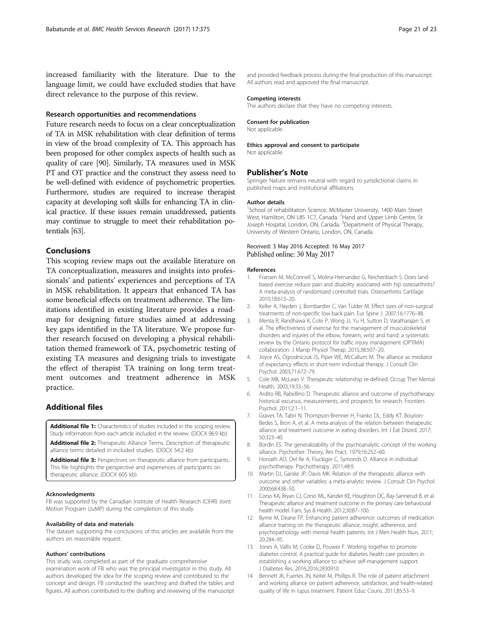<span id="page-20-0"></span>increased familiarity with the literature. Due to the language limit, we could have excluded studies that have direct relevance to the purpose of this review.

#### Research opportunities and recommendations

Future research needs to focus on a clear conceptualization of TA in MSK rehabilitation with clear definition of terms in view of the broad complexity of TA. This approach has been proposed for other complex aspects of health such as quality of care [[90](#page-22-0)]. Similarly, TA measures used in MSK PT and OT practice and the construct they assess need to be well-defined with evidence of psychometric properties. Furthermore, studies are required to increase therapist capacity at developing soft skills for enhancing TA in clinical practice. If these issues remain unaddressed, patients may continue to struggle to meet their rehabilitation potentials [[63](#page-22-0)].

#### Conclusions

This scoping review maps out the available literature on TA conceptualization, measures and insights into professionals' and patients' experiences and perceptions of TA in MSK rehabilitation. It appears that enhanced TA has some beneficial effects on treatment adherence. The limitations identified in existing literature provides a roadmap for designing future studies aimed at addressing key gaps identified in the TA literature. We propose further research focused on developing a physical rehabilitation themed framework of TA, psychometric testing of existing TA measures and designing trials to investigate the effect of therapist TA training on long term treatment outcomes and treatment adherence in MSK practice.

#### Additional files

[Additional file 1:](dx.doi.org/10.1186/s12913-017-2311-3) Characteristics of studies included in the scoping review. Study information from each article included in the review. (DOCX 96.9 kb)

[Additional file 2:](dx.doi.org/10.1186/s12913-017-2311-3) Therapeutic Alliance Terms. Description of therapeutic alliance terms detailed in included studies. (DOCX 54.2 kb)

[Additional file 3:](dx.doi.org/10.1186/s12913-017-2311-3) Perspectives on therapeutic alliance from participants. This file highlights the perspective and experiences of participants on therapeutic alliance. (DOCX 605 kb)

#### Acknowledgments

FB was supported by the Canadian Institute of Health Research (CIHR) Joint Motion Program (JuMP) during the completion of this study.

#### Availability of data and materials

The dataset supporting the conclusions of this articles are available from the authors on reasonable request.

#### Authors' contributions

This study was completed as part of the graduate comprehensive examination work of FB who was the principal investigator in this study. All authors developed the idea for the scoping review and contributed to the concept and design. FB conducted the searching and drafted the tables and figures. All authors contributed to the drafting and reviewing of the manuscript and provided feedback process during the final production of this manuscript. All authors read and approved the final manuscript.

#### Competing interests

The authors declare that they have no competing interests.

#### Consent for publication

Not applicable.

# Ethics approval and consent to participate

Not applicable.

#### Publisher's Note

Springer Nature remains neutral with regard to jurisdictional claims in published maps and institutional affiliations.

#### Author details

<sup>1</sup>School of rehabilitation Science, McMaster University, 1400 Main Street West, Hamilton, ON L8S 1C7, Canada. <sup>2</sup>Hand and Upper Limb Centre, St Joseph Hospital, London, ON, Canada. <sup>3</sup>Department of Physical Therapy University of Western Ontario, London, ON, Canada.

#### Received: 3 May 2016 Accepted: 16 May 2017 Published online: 30 May 2017

#### References

- Fransen M, McConnell S, Molina-Hernandez G, Reichenbach S. Does landbased exercise reduce pain and disability associated with hip osteoarthritis? A meta-analysis of randomized controlled trials. Osteoarthritis Cartilage. 2010;18:613–20.
- 2. Keller A, Hayden J, Bombardier C, Van Tulder M. Effect sizes of non-surgical treatments of non-specific low-back pain. Eur Spine J. 2007;16:1776–88.
- 3. Menta R, Randhawa K, Cote P, Wong JJ, Yu H, Sutton D, Varatharajan S, et al. The effectiveness of exercise for the management of musculoskeletal disorders and injuries of the elbow, forearm, wrist and hand: a systematic review by the Ontario protocol for traffic injury management (OPTIMA) collaboration. J Manip Physiol Therap. 2015;38:507–20.
- 4. Joyce AS, Ogrodniczuk JS, Piper WE, McCallum M. The alliance as mediator of expectancy effects in short-term individual therapy. J Consult Clin Psychol. 2003;71:672–79.
- 5. Cole MB, McLean V. Therapeutic relationship re-defined. Occup Ther Mental Health. 2003;19:33–56.
- 6. Ardito RB, Rabellino D. Therapeutic alliance and outcome of psychotherapy: historical excursus, measurements, and prospects for research. Frontiers Psychol. 2011;2:1–11.
- 7. Graves TA, Tabri N, Thompson-Brenner H, Franko DL, Eddy KT, Bourion-Bedes S, Bron A, et al. A meta-analysis of the relation between therapeutic alliance and treatment outcome in eating disorders. Int J Eat Disord. 2017; 50:323–40.
- 8. Bordin ES. The generalizability of the psychoanalytic concept of the working alliance. Psychother: Theory, Res Pract. 1979;16:252–60.
- 9. Horvath AO, Del Re A, Fluckiger C, Symonds D. Alliance in individual psychotherapy. Psychotherapy. 2011;48:9.
- 10. Martin DJ, Garske JP, Davis MK. Relation of the therapeutic alliance with outcome and other variables: a meta-analytic review. J Consult Clin Psychol. 2000;68:438–50.
- 11. Corso KA, Bryan CJ, Corso ML, Kanzler KE, Houghton DC, Ray-Sannerud B, et al. Therapeutic alliance and treatment outcome in the primary care behavioural health model. Fam, Sys & Health. 2012;30:87–100.
- 12. Byrne M, Deane FP. Enhancing patient adherence: outcomes of medication alliance training on the therapeutic alliance, insight, adherence, and psychopathology with mental health patients. Int J Men Health Nurs. 2011; 20:284–95.
- 13. Jones A, Vallis M, Cooke D, Pouwer F. Working together to promote diabetes control. A practical guide for diabetes health care providers in establishing a working alliance to achieve self-management support. J Diabetes Res. 2016;2016:2830910.
- 14. Bennett JK, Fuertes JN, Keitel M, Phillips R. The role of patient attachment and working alliance on patient adherence, satisfaction, and health-related quality of life in lupus treatment. Patient Educ Couns. 2011;85:53–9.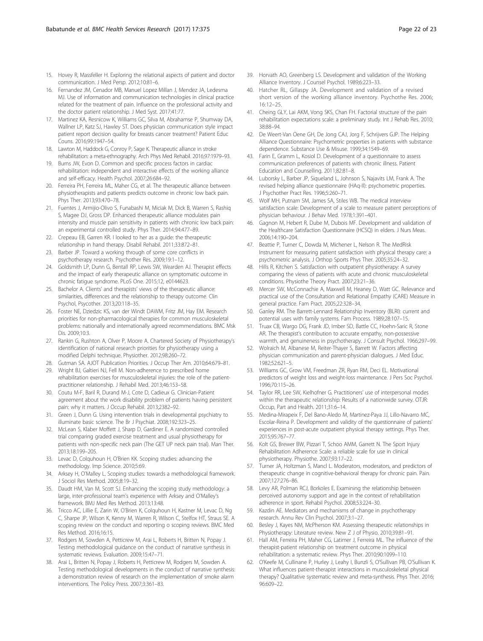- <span id="page-21-0"></span>15. Hovey R, Massfeller H. Exploring the relational aspects of patient and doctor communication. J Med Persp. 2012;10:81–6.
- 16. Fernandez JM, Cenador MB, Manuel Lopez Millan J, Mendez JA, Ledesma MJ. Use of information and communication technologies in clinical practice related for the treatment of pain. Influence on the professional activity and the doctor patient relationship. J Med Syst. 2017;41:77.
- 17. Martinez KA, Resnicow K, Williams GC, Silva M, Abrahamse P, Shumway DA, Wallner LP, Katz SJ, Hawley ST. Does physician communication style impact patient report decision quality for breasts cancer treatment? Patient Educ Couns. 2016;99:1947–54.
- 18. Lawton M, Haddock G, Conroy P, Sage K. Therapeutic alliance in stroke rehabilitation: a meta-ethnography. Arch Phys Med Rehabil. 2016;97:1979–93.
- 19. Burns JW, Evon D. Common and specific process factors in cardiac rehabilitation: independent and interactive effects of the working alliance and self-efficacy. Health Psychol. 2007;26:684–92.
- 20. Ferreira PH, Ferreira ML, Maher CG, et al. The therapeutic alliance between physiotherapists and patients predicts outcome in chronic low back pain. Phys Ther. 2013;93:470–78.
- 21. Fuentes J, Armijio-Olivo S, Funabashi M, Miciak M, Dick B, Warren S, Rashiq S, Magee DJ, Gross DP. Enhanced therapeutic alliance modulates pain intensity and muscle pain sensitivity in patients with chronic low back pain: an experimental controlled study. Phys Ther. 2014;94:477–89.
- 22. Crepeau EB, Garren KR. I looked to her as a guide: the therapeutic relationship in hand therapy. Disabil Rehabil. 2011;33:872–81.
- 23. Barber JP. Toward a working through of some core conflicts in psychotherapy research. Psychother Res. 2009;19:1–12.
- 24. Goldsmith LP, Dunn G, Bentall RP, Lewis SW, Wearden AJ. Therapist effects and the impact of early therapeutic alliance on symptomatic outcome in chronic fatigue syndrome. PLoS One. 2015;12, e0144623.
- 25. Bachelor A. Clients' and therapists' views of the therapeutic alliance: similarities, differences and the relationship to therapy outcome. Clin Psychol, Psycother. 2013;20:118–35.
- 26. Foster NE, Dziedzic KS, van der Windt DAWM, Fritz JM, Hay EM. Research priorities for non-pharmacological therapies for common musculoskeletal problems: nationally and internationally agreed recommendations. BMC Msk Dis. 2009;10:3.
- 27. Rankin G, Rushton A, Olver P, Moore A. Chartered Society of Physiotherapy's identification of national research priorities for physiotherapy using a modified Delphi technique. Physiother. 2012;98:260–72.
- 28. Gutman SA. AJOT Publication Priorities. J Occup Ther Am. 2010;64:679–81.
- 29. Wright BJ, Galtieri NJ, Fell M. Non-adherence to prescribed home rehabilitation exercises for musculoskeletal injuries: the role of the patientpractitioner relationship. J Rehabil Med. 2013;46:153–58.
- 30. Coutu M-F, Baril R, Durand M-J, Cote D, Cadieux G. Clinician-Patient agreement about the work disability problem of patients having persistent pain: why it matters. J Occup Rehabil. 2013;2382–92.
- 31. Green J, Dunn G. Using intervention trials in developmental psychiatry to illuminate basic science. The Br J Psychiat. 2008;192:323–25.
- 32. McLean S, Klaber Moffett J, Sharp D, Gardiner E. A randomized controlled trial comparing graded exercise treatment and usual physiotherapy for patients with non-specific neck pain (The GET UP neck pain trial). Man Ther. 2013;18:199–205.
- 33. Levac D, Colquhoun H, O'Brien KK. Scoping studies: advancing the methodology. Imp Science. 2010;5:69.
- Arksey H, O'Malley L. Scoping studies: towards a methodological framework. J Sociol Res Method. 2005;8:19–32.
- 35. Daudt HM, Van M, Scott SJ. Enhancing the scoping study methodology: a large, inter-professional team's experience with Arksey and O'Malley's framework. BMJ Med Res Method. 2013;13:48.
- 36. Tricco AC, Lillie E, Zarin W, O'Brien K, Colquhoun H, Kastner M, Levac D, Ng C, Sharpe JP, Wilson K, Kenny M, Warren R, Wilson C, Stelfox HT, Straus SE. A scoping review on the conduct and reporting o scoping reviews. BMC Med Res Method. 2016;16:15.
- 37. Rodgers M, Sowden A, Petticrew M, Arai L, Roberts H, Britten N, Popay J. Testing methodological guidance on the conduct of narrative synthesis in systematic reviews. Evaluation. 2009;15:47–71.
- 38. Arai L, Britten N, Popay J, Roberts H, Petticrew M, Rodgers M, Sowden A. Testing methodological developments in the conduct of narrative synthesis: a demonstration review of research on the implementation of smoke alarm interventions. The Policy Press. 2007;3:361–83.
- 39. Horvath AO, Greenberg LS. Development and validation of the Working Alliance Inventory. J Counsel Psychol. 1989;6:223–33.
- 40. Hatcher RL, Gillaspy JA. Development and validation of a revised short version of the working alliance inventory. Psychothe Res. 2006; 16:12–25.
- 41. Cheing GLY, Lai AKM, Vong SKS, Chan FH. Factorial structure of the pain rehabilitation expectations scale: a preliminary study. Int J Rehab Res. 2010; 38:88–94.
- 42. De Weert-Van Oene GH, De Jong CAJ, Jorg F, Schrijvers GJP. The Helping Alliance Questionnaire: Psychometric properties in patients with substance dependence. Substance Use & Misuse. 1999;34:1549–69.
- 43. Farin E, Gramm L, Kosiol D. Development of a questionnaire to assess communication preferences of patients with chronic illness. Patient Education and Counselling. 2011;82:81–8.
- 44. Luborsky L, Barber JP, Siqueland L, Johnson S, Najavits LM, Frank A. The revised helping alliance questionnaire (HAq-II): psychometric properties. J Psychother Pract Res. 1996;5:260–71.
- 45. Wolf MH, Putnam SM, James SA, Stiles WB. The medical interview satisfaction scale: Development of a scale to measure patient perceptions of physician behaviour. J Behav Med. 1978;1:391–401.
- 46. Gagnon M, Hebert R, Dube M, Dubois MF. Development and validation of the Healthcare Satisfaction Questionnaire (HCSQ) in elders. J Nurs Meas. 2006;14:190–204.
- 47. Beattie P, Turner C, Dowda M, Michener L, Nelson R. The MedRisk Instrument for measuring patient satisfaction with physical therapy care: a psychometric analysis. J Orthop Sports Phys Ther. 2005;35:24–32.
- Hills R, Kitchen S. Satisfaction with outpatient physiotherapy: A survey comparing the views of patients with acute and chronic musculoskeletal conditions. Physiothe Theory Pract. 2007;23:21–36.
- 49. Mercer SW, McConnachie A, Maxwell M, Heaney D, Watt GC. Relevance and practical use of the Consultation and Relational Empathy (CARE) Measure in general practice. Fam Pract. 2005;22:328–34.
- 50. Ganley RM. The Barrett-Lennard Relationship Inventory (BLRI): current and potential uses with family systems. Fam Process. 1989;28:107–15.
- 51. Truax CB, Wargo DG, Frank JD, Imber SD, Battle CC, Hoehn-Saric R, Stone AR. The therapist's contribution to accurate empathy, non-possessive warmth, and genuineness in psychotherapy. J Consult Psychol. 1966;297–99.
- 52. Wolraich M, Albanese M, Reiter-Thayer S, Barrett W. Factors affecting physician communication and parent-physician dialogues. J Med Educ. 1982;52:621–5.
- 53. Williams GC, Grow VM, Freedman ZR, Ryan RM, Deci EL. Motivational predictors of weight loss and weight-loss maintenance. J Pers Soc Psychol. 1996;70:115–26.
- 54. Taylor RR, Lee SW, Kielhofner G. Practitioners' use of interpersonal modes within the therapeutic relationship: Results of a nationwide survey. OTJR: Occup, Part and Health. 2011;31:6–14.
- 55. Medina-Mirapeix F, Del Bano-Aledo M, Martinez-Paya JJ, Lillo-Navarro MC, Escolar-Reina P. Development and validity of the questionnaire of patients' experiences in post-acute outpatient physical therapy settings. Phys Ther. 2015;95:767–77.
- 56. Kolt GS, Brewer BW, Pizzari T, Schoo AMM, Garrett N. The Sport Injury Rehabilitation Adherence Scale: a reliable scale for use in clinical physiotherapy. Physiothe. 2007;93:17–22.
- 57. Turner JA, Holtzman S, Mancl L. Moderators, moderators, and predictors of therapeutic change in cognitive-behavioral therapy for chronic pain. Pain. 2007;127:276–86.
- 58. Levy AR, Polman RCJ, Borkoles E. Examining the relationship between perceived autonomy support and age in the context of rehabilitation adherence in sport. Rehabil Psychol. 2008;53:224–30.
- 59. Kazdin AE. Mediators and mechanisms of change in psychotherapy research. Annu Rev Clin Psychol. 2007;3:1–27.
- Besley J, Kayes NM, McPherson KM. Assessing therapeutic relationships in Physiotherapy: Literature review. New Z J of Physio. 2010;39:81–91.
- 61. Hall AM, Ferreira PH, Maher CG, Latimer J, Ferreira ML. The influence of the therapist-patient relationship on treatment outcome in physical rehabilitation: a systematic review. Phys Ther. 2010;90:1099–110.
- 62. O'Keefe M, Cullinane P, Hurley J, Leahy I, Bunzli S, O'Sullivan PB, O'Sullivan K. What influences patient-therapist interactions in musculoskeletal physical therapy? Qualitative systematic review and meta-synthesis. Phys Ther. 2016; 96:609–22.